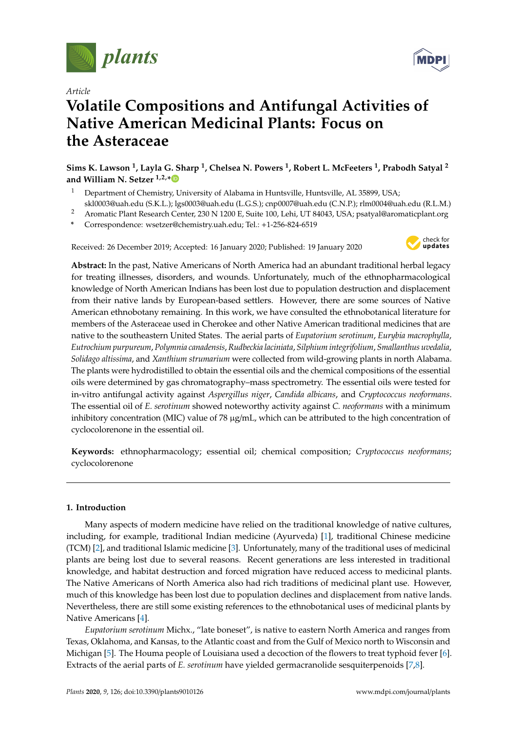

*Article*

# **Volatile Compositions and Antifungal Activities of Native American Medicinal Plants: Focus on the Asteraceae**

**Sims K. Lawson <sup>1</sup> , Layla G. Sharp <sup>1</sup> , Chelsea N. Powers <sup>1</sup> , Robert L. McFeeters <sup>1</sup> , Prabodh Satyal <sup>2</sup> and William N. Setzer 1,2,[\\*](https://orcid.org/0000-0002-3639-0528)**

- <sup>1</sup> Department of Chemistry, University of Alabama in Huntsville, Huntsville, AL 35899, USA; skl0003@uah.edu (S.K.L.); lgs0003@uah.edu (L.G.S.); cnp0007@uah.edu (C.N.P.); rlm0004@uah.edu (R.L.M.)
- <sup>2</sup> Aromatic Plant Research Center, 230 N 1200 E, Suite 100, Lehi, UT 84043, USA; psatyal@aromaticplant.org
- **\*** Correspondence: wsetzer@chemistry.uah.edu; Tel.: +1-256-824-6519

Received: 26 December 2019; Accepted: 16 January 2020; Published: 19 January 2020



**Abstract:** In the past, Native Americans of North America had an abundant traditional herbal legacy for treating illnesses, disorders, and wounds. Unfortunately, much of the ethnopharmacological knowledge of North American Indians has been lost due to population destruction and displacement from their native lands by European-based settlers. However, there are some sources of Native American ethnobotany remaining. In this work, we have consulted the ethnobotanical literature for members of the Asteraceae used in Cherokee and other Native American traditional medicines that are native to the southeastern United States. The aerial parts of *Eupatorium serotinum*, *Eurybia macrophylla*, *Eutrochium purpureum*, *Polymnia canadensis*, *Rudbeckia laciniata*, *Silphium integrifolium*, *Smallanthus uvedalia*, *Solidago altissima*, and *Xanthium strumarium* were collected from wild-growing plants in north Alabama. The plants were hydrodistilled to obtain the essential oils and the chemical compositions of the essential oils were determined by gas chromatography–mass spectrometry. The essential oils were tested for in-vitro antifungal activity against *Aspergillus niger*, *Candida albicans*, and *Cryptococcus neoformans*. The essential oil of *E. serotinum* showed noteworthy activity against *C. neoformans* with a minimum inhibitory concentration (MIC) value of 78 µg/mL, which can be attributed to the high concentration of cyclocolorenone in the essential oil.

**Keywords:** ethnopharmacology; essential oil; chemical composition; *Cryptococcus neoformans*; cyclocolorenone

# **1. Introduction**

Many aspects of modern medicine have relied on the traditional knowledge of native cultures, including, for example, traditional Indian medicine (Ayurveda) [\[1\]](#page-13-0), traditional Chinese medicine (TCM) [\[2\]](#page-13-1), and traditional Islamic medicine [\[3\]](#page-13-2). Unfortunately, many of the traditional uses of medicinal plants are being lost due to several reasons. Recent generations are less interested in traditional knowledge, and habitat destruction and forced migration have reduced access to medicinal plants. The Native Americans of North America also had rich traditions of medicinal plant use. However, much of this knowledge has been lost due to population declines and displacement from native lands. Nevertheless, there are still some existing references to the ethnobotanical uses of medicinal plants by Native Americans [\[4\]](#page-13-3).

*Eupatorium serotinum* Michx., "late boneset", is native to eastern North America and ranges from Texas, Oklahoma, and Kansas, to the Atlantic coast and from the Gulf of Mexico north to Wisconsin and Michigan [\[5\]](#page-13-4). The Houma people of Louisiana used a decoction of the flowers to treat typhoid fever [\[6\]](#page-13-5). Extracts of the aerial parts of *E. serotinum* have yielded germacranolide sesquiterpenoids [\[7](#page-13-6)[,8\]](#page-13-7).

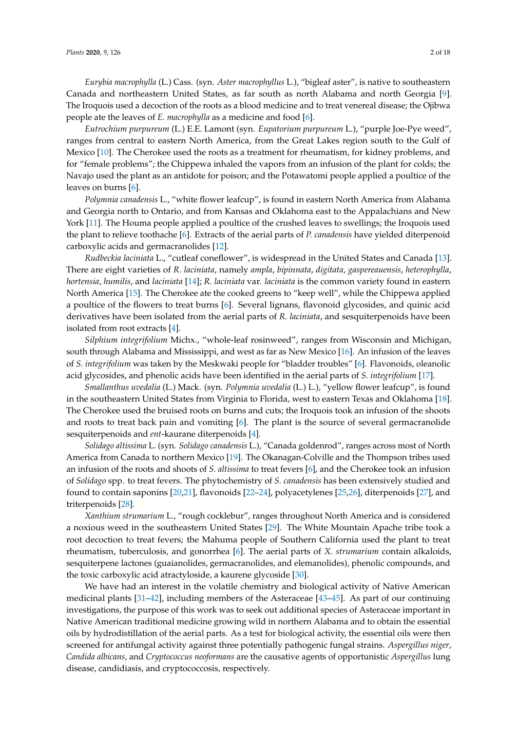*Eurybia macrophylla* (L.) Cass. (syn. *Aster macrophyllus* L.), "bigleaf aster", is native to southeastern Canada and northeastern United States, as far south as north Alabama and north Georgia [\[9\]](#page-13-8). The Iroquois used a decoction of the roots as a blood medicine and to treat venereal disease; the Ojibwa people ate the leaves of *E. macrophylla* as a medicine and food [\[6\]](#page-13-5).

*Eutrochium purpureum* (L.) E.E. Lamont (syn. *Eupatorium purpureum* L.), "purple Joe-Pye weed", ranges from central to eastern North America, from the Great Lakes region south to the Gulf of Mexico [\[10\]](#page-13-9). The Cherokee used the roots as a treatment for rheumatism, for kidney problems, and for "female problems"; the Chippewa inhaled the vapors from an infusion of the plant for colds; the Navajo used the plant as an antidote for poison; and the Potawatomi people applied a poultice of the leaves on burns [\[6\]](#page-13-5).

*Polymnia canadensis* L., "white flower leafcup", is found in eastern North America from Alabama and Georgia north to Ontario, and from Kansas and Oklahoma east to the Appalachians and New York [\[11\]](#page-13-10). The Houma people applied a poultice of the crushed leaves to swellings; the Iroquois used the plant to relieve toothache [\[6\]](#page-13-5). Extracts of the aerial parts of *P. canadensis* have yielded diterpenoid carboxylic acids and germacranolides [\[12\]](#page-13-11).

*Rudbeckia laciniata* L., "cutleaf coneflower", is widespread in the United States and Canada [\[13\]](#page-13-12). There are eight varieties of *R. laciniata*, namely *ampla*, *bipinnata*, *digitata*, *gaspereauensis*, *heterophylla*, *hortensia*, *humilis*, and *laciniata* [\[14\]](#page-13-13); *R. laciniata* var. *laciniata* is the common variety found in eastern North America [\[15\]](#page-13-14). The Cherokee ate the cooked greens to "keep well", while the Chippewa applied a poultice of the flowers to treat burns [\[6\]](#page-13-5). Several lignans, flavonoid glycosides, and quinic acid derivatives have been isolated from the aerial parts of *R. laciniata*, and sesquiterpenoids have been isolated from root extracts [\[4\]](#page-13-3).

*Silphium integrifolium* Michx., "whole-leaf rosinweed", ranges from Wisconsin and Michigan, south through Alabama and Mississippi, and west as far as New Mexico [\[16\]](#page-13-15). An infusion of the leaves of *S. integrifolium* was taken by the Meskwaki people for "bladder troubles" [\[6\]](#page-13-5). Flavonoids, oleanolic acid glycosides, and phenolic acids have been identified in the aerial parts of *S. integrifolium* [\[17\]](#page-13-16).

*Smallanthus uvedalia* (L.) Mack. (syn. *Polymnia uvedalia* (L.) L.), "yellow flower leafcup", is found in the southeastern United States from Virginia to Florida, west to eastern Texas and Oklahoma [\[18\]](#page-13-17). The Cherokee used the bruised roots on burns and cuts; the Iroquois took an infusion of the shoots and roots to treat back pain and vomiting [\[6\]](#page-13-5). The plant is the source of several germacranolide sesquiterpenoids and *ent*-kaurane diterpenoids [\[4\]](#page-13-3).

*Solidago altissima* L. (syn. *Solidago canadensis* L.), "Canada goldenrod", ranges across most of North America from Canada to northern Mexico [\[19\]](#page-13-18). The Okanagan-Colville and the Thompson tribes used an infusion of the roots and shoots of *S. altissima* to treat fevers [\[6\]](#page-13-5), and the Cherokee took an infusion of *Solidago* spp. to treat fevers. The phytochemistry of *S. canadensis* has been extensively studied and found to contain saponins [\[20,](#page-13-19)[21\]](#page-14-0), flavonoids [\[22](#page-14-1)[–24\]](#page-14-2), polyacetylenes [\[25,](#page-14-3)[26\]](#page-14-4), diterpenoids [\[27\]](#page-14-5), and triterpenoids [\[28\]](#page-14-6).

*Xanthium strumarium* L., "rough cocklebur", ranges throughout North America and is considered a noxious weed in the southeastern United States [\[29\]](#page-14-7). The White Mountain Apache tribe took a root decoction to treat fevers; the Mahuma people of Southern California used the plant to treat rheumatism, tuberculosis, and gonorrhea [\[6\]](#page-13-5). The aerial parts of *X. strumarium* contain alkaloids, sesquiterpene lactones (guaianolides, germacranolides, and elemanolides), phenolic compounds, and the toxic carboxylic acid atractyloside, a kaurene glycoside [\[30\]](#page-14-8).

We have had an interest in the volatile chemistry and biological activity of Native American medicinal plants [\[31–](#page-14-9)[42\]](#page-14-10), including members of the Asteraceae [\[43–](#page-14-11)[45\]](#page-15-0). As part of our continuing investigations, the purpose of this work was to seek out additional species of Asteraceae important in Native American traditional medicine growing wild in northern Alabama and to obtain the essential oils by hydrodistillation of the aerial parts. As a test for biological activity, the essential oils were then screened for antifungal activity against three potentially pathogenic fungal strains. *Aspergillus niger*, *Candida albicans*, and *Cryptococcus neoformans* are the causative agents of opportunistic *Aspergillus* lung disease, candidiasis, and cryptococcosis, respectively.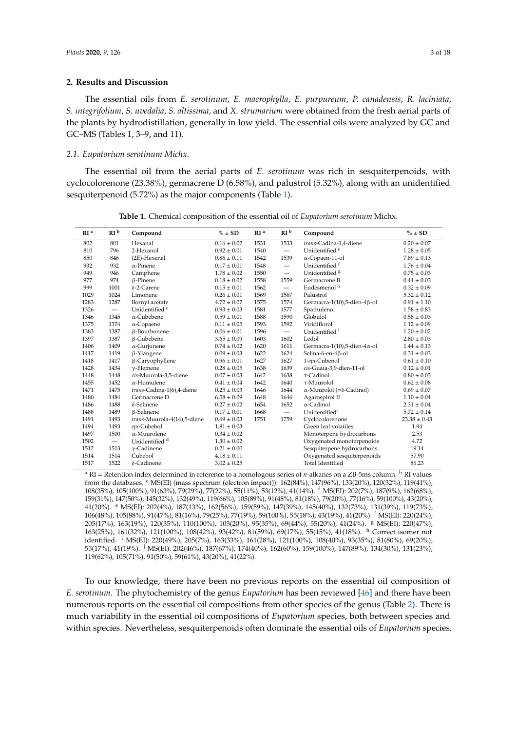### **2. Results and Discussion**

The essential oils from *E. serotinum*, *E. macrophylla*, *E. purpureum*, *P. canadensis*, *R. laciniata*, *S. integrifolium*, *S. uvedalia*, *S. altissima*, and *X. strumarium* were obtained from the fresh aerial parts of the plants by hydrodistillation, generally in low yield. The essential oils were analyzed by GC and GC–MS (Tables 1, 3–9, and 11).

#### *2.1. Eupatorium serotinum Michx.*

The essential oil from the aerial parts of *E. serotinum* was rich in sesquiterpenoids, with cyclocolorenone (23.38%), germacrene D (6.58%), and palustrol (5.32%), along with an unidentified sesquiterpenoid (5.72%) as the major components (Table [1\)](#page-2-0).

<span id="page-2-0"></span>

| RI <sup>a</sup> | RI <sup>b</sup> | Compound                    | $% \pm SD$      | RI <sup>a</sup> | RI <sup>b</sup>          | Compound                                 | $% \pm SD$       |
|-----------------|-----------------|-----------------------------|-----------------|-----------------|--------------------------|------------------------------------------|------------------|
| 802             | 801             | Hexanal                     | $0.16 \pm 0.02$ | 1531            | 1533                     | trans-Cadina-1,4-diene                   | $0.20 \pm 0.07$  |
| 810             | 796             | 2-Hexanol                   | $0.92 \pm 0.01$ | 1540            | $\overline{\phantom{0}}$ | Unidentified <sup>e</sup>                | $1.28\pm0.05$    |
| 850             | 846             | $(2E)$ -Hexenal             | $0.86 \pm 0.11$ | 1542            | 1539                     | α-Copaen-11-ol                           | $7.89 \pm 0.13$  |
| 932             | 932             | $\alpha$ -Pinene            | $0.17 \pm 0.01$ | 1548            | $\qquad \qquad =$        | Unidentified <sup>f</sup>                | $1.76 \pm 0.04$  |
| 949             | 946             | Camphene                    | $1.78 \pm 0.02$ | 1550            | $\equiv$                 | Unidentified <sup>8</sup>                | $0.75 \pm 0.03$  |
| 977             | 974             | $\beta$ -Pinene             | $0.18 \pm 0.02$ | 1558            | 1559                     | Germacrene B                             | $0.44 \pm 0.03$  |
| 999             | 1001            | $\delta$ -2-Carene          | $0.15 \pm 0.01$ | 1562            | $\overline{\phantom{m}}$ | Eudesmenol <sup>h</sup>                  | $0.32 \pm 0.09$  |
| 1029            | 1024            | Limonene                    | $0.26 \pm 0.01$ | 1569            | 1567                     | Palustrol                                | $5.32 \pm 0.12$  |
| 1283            | 1287            | Bornyl acetate              | $4.72 \pm 0.07$ | 1575            | 1574                     | Germacra-1(10),5-dien-4β-ol              | $0.91 \pm 1.10$  |
| 1326            | $\qquad \qquad$ | Unidentified c              | $0.93 \pm 0.03$ | 1581            | 1577                     | Spathulenol                              | $1.58 \pm 0.83$  |
| 1346            | 1345            | $\alpha$ -Cubebene          | $0.59 \pm 0.01$ | 1588            | 1590                     | Globulol                                 | $0.58\pm0.03$    |
| 1375            | 1374            | $\alpha$ -Copaene           | $0.11 \pm 0.05$ | 1593            | 1592                     | Viridiflorol                             | $1.12 \pm 0.09$  |
| 1383            | 1387            | β-Bourbonene                | $0.06 \pm 0.01$ | 1596            | $\qquad \qquad$          | Unidentified <sup>1</sup>                | $1.20 \pm 0.02$  |
| 1397            | 1387            | β-Cubebene                  | $3.65 \pm 0.09$ | 1603            | 1602                     | Ledol                                    | $2.80 \pm 0.03$  |
| 1406            | 1409            | $\alpha$ -Gurjunene         | $0.74 \pm 0.02$ | 1620            | 1611                     | Germacra-1(10),5-dien-4 $\alpha$ -ol     | $1.44 \pm 0.13$  |
| 1417            | 1419            | $\beta$ -Ylangene           | $0.09 \pm 0.03$ | 1622            | 1624                     | Selina-6-en-4ß-ol                        | $0.31 \pm 0.03$  |
| 1418            | 1417            | $\beta$ -Caryophyllene      | $0.96 \pm 0.01$ | 1627            | 1627                     | 1-epi-Cubenol                            | $0.61 \pm 0.10$  |
| 1428            | 1434            | $\nu$ -Elemene              | $0.28 \pm 0.05$ | 1638            | 1639                     | cis-Guaia-3,9-dien-11-ol                 | $0.12 \pm 0.01$  |
| 1448            | 1448            | cis-Muurola-3,5-diene       | $0.07 \pm 0.03$ | 1642            | 1638                     | $\tau$ -Cadinol                          | $0.80 \pm 0.03$  |
| 1455            | 1452            | $\alpha$ -Humulene          | $0.41 \pm 0.04$ | 1642            | 1640                     | $\tau$ -Muurolol                         | $0.62 \pm 0.08$  |
| 1471            | 1475            | trans-Cadina-1(6),4-diene   | $0.25 \pm 0.03$ | 1646            | 1644                     | $\alpha$ -Muurolol (= $\delta$ -Cadinol) | $0.69 \pm 0.07$  |
| 1480            | 1484            | Germacrene D                | $6.58 \pm 0.09$ | 1648            | 1646                     | Agarospirol II                           | $1.10 \pm 0.04$  |
| 1486            | 1488            | $\delta$ -Selinene          | $0.27 \pm 0.02$ | 1654            | 1652                     | $\alpha$ -Cadinol                        | $2.31 \pm 0.04$  |
| 1488            | 1489            | $\beta$ -Selinene           | $0.17 \pm 0.01$ | 1668            | $\frac{1}{2}$            | Unidentified <sup>j</sup>                | $5.72 \pm 0.14$  |
| 1491            | 1493            | trans-Muurola-4(14),5-diene | $0.69 \pm 0.03$ | 1751            | 1759                     | Cyclocolorenone                          | $23.38 \pm 0.43$ |
| 1494            | 1493            | epi-Cubebol                 | $1.81 \pm 0.03$ |                 |                          | Green leaf volatiles                     | 1.94             |
| 1497            | 1500            | $\alpha$ -Muurolene         | $0.34 \pm 0.02$ |                 |                          | Monoterpene hydrocarbons                 | 2.53             |
| 1502            | $\equiv$        | Unidentified <sup>d</sup>   | $1.30 \pm 0.02$ |                 |                          | Oxygenated monoterpenoids                | 4.72             |
| 1512            | 1513            | $\gamma$ -Cadinene          | $0.21 \pm 0.00$ |                 |                          | Sesquiterpene hydrocarbons               | 19.14            |
| 1514            | 1514            | Cubebol                     | $4.18 \pm 0.11$ |                 |                          | Oxygenated sesquiterpenoids              | 57.90            |
| 1517            | 1522            | $\delta$ -Cadinene          | $3.02 \pm 0.25$ |                 |                          | <b>Total Identified</b>                  | 86.23            |

**Table 1.** Chemical composition of the essential oil of *Eupatorium serotinum* Michx.

<sup>a</sup> RI = Retention index determined in reference to a homologous series of *n*-alkanes on a ZB-5ms column. <sup>b</sup> RI values from the databases. <sup>c</sup> MS(EI) (mass spectrum (electron impact)): 162(84%), 147(96%), 133(20%), 120(32%), 119(41%), 108(35%), 105(100%), 91(63%), 79(29%), 77(22%), 55(11%), 53(12%), 41(14%). <sup>d</sup> MS(EI): 202(7%), 187(9%), 162(68%), 159(31%), 147(50%), 145(32%), 132(49%), 119(66%), 105(89%), 91(48%), 81(18%), 79(20%), 77(16%), 59(100%), 43(20%), 41(20%). <sup>e</sup> MS(EI): 202(4%), 187(13%), 162(56%), 159(59%), 147(39%), 145(40%), 132(73%), 131(39%), 119(73%), 106(48%), 105(88%), 91(47%), 81(16%), 79(25%), 77(19%), 59(100%), 55(18%), 43(19%), 41(20%). <sup>f</sup> MS(EI): 220(24%), 205(17%), 163(19%), 120(35%), 110(100%), 105(20%), 95(35%), 69(44%), 55(20%), 41(24%). <sup>g</sup> MS(EI): 220(47%), 163(25%), 161(32%), 121(100%), 108(42%), 93(42%), 81(59%), 69(17%), 55(15%), 41(18%). <sup>h</sup> Correct isomer not identified. <sup>i</sup> MS(EI): 220(49%), 205(7%), 163(33%), 161(28%), 121(100%), 108(40%), 93(35%), 81(80%), 69(20%), 55(17%), 41(19%). <sup>j</sup> MS(EI): 202(46%), 187(67%), 174(40%), 162(60%), 159(100%), 147(89%), 134(30%), 131(23%), 119(62%), 105(71%), 91(50%), 59(61%), 43(20%), 41(22%).

To our knowledge, there have been no previous reports on the essential oil composition of *E. serotinum*. The phytochemistry of the genus *Eupatorium* has been reviewed [\[46\]](#page-15-1) and there have been numerous reports on the essential oil compositions from other species of the genus (Table [2\)](#page-4-0). There is much variability in the essential oil compositions of *Eupatorium* species, both between species and within species. Nevertheless, sesquiterpenoids often dominate the essential oils of *Eupatorium* species.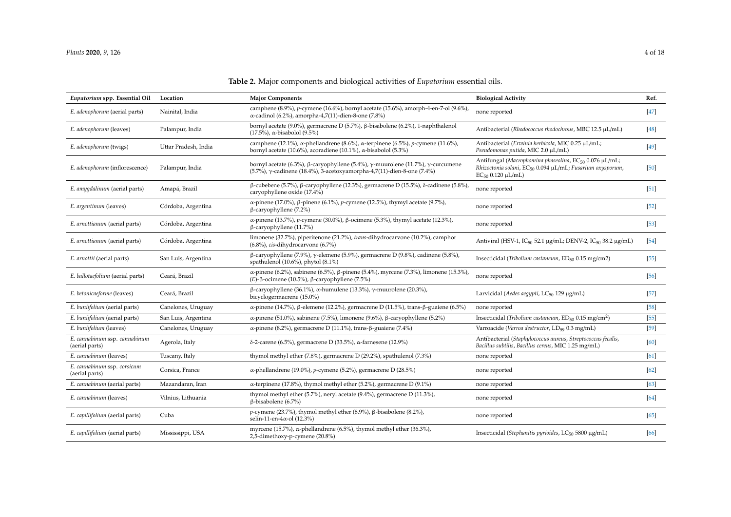| Eupatorium spp. Essential Oil                   | Location             | <b>Major Components</b>                                                                                                                                                  | <b>Biological Activity</b>                                                                                                                                                  | Ref.               |
|-------------------------------------------------|----------------------|--------------------------------------------------------------------------------------------------------------------------------------------------------------------------|-----------------------------------------------------------------------------------------------------------------------------------------------------------------------------|--------------------|
| E. adenophorum (aerial parts)                   | Nainital, India      | camphene (8.9%), p-cymene (16.6%), bornyl acetate (15.6%), amorph-4-en-7-ol (9.6%),<br>$\alpha$ -cadinol (6.2%), amorpha-4,7(11)-dien-8-one (7.8%)                       | none reported                                                                                                                                                               | [47]               |
| E. adenophorum (leaves)                         | Palampur, India      | bornyl acetate (9.0%), germacrene D (5.7%), β-bisabolene (6.2%), 1-naphthalenol<br>$(17.5\%)$ , $\alpha$ -bisabolol $(9.5\%)$                                            | Antibacterial (Rhodococcus rhodochrous, MBC 12.5 µL/mL)                                                                                                                     | [48]               |
| E. adenophorum (twigs)                          | Uttar Pradesh, India | camphene (12.1%), $\alpha$ -phellandrene (8.6%), $\alpha$ -terpinene (6.5%), p-cymene (11.6%),<br>bornyl acetate (10.6%), acoradiene (10.1%), $\alpha$ -bisabolol (5.3%) | Antibacterial (Erwinia herbicola, MIC 0.25 µL/mL;<br>Pseudomonas putida, MIC 2.0 µL/mL)                                                                                     | $[49]$             |
| E. adenophorum (inflorescence)                  | Palampur, India      | bornyl acetate (6.3%), β-caryophyllene (5.4%), γ-muurolene (11.7%), γ-curcumene<br>(5.7%), γ-cadinene (18.4%), 3-acetoxyamorpha-4,7(11)-dien-8-one (7.4%)                | Antifungal (Macrophomina phaseolina, EC <sub>50</sub> 0.076 µL/mL;<br>Rhizoctonia solani, EC <sub>50</sub> 0.094 µL/mL; Fusarium oxysporum,<br>$EC_{50}$ 0.120 $\mu L/mL$ ) | [50]               |
| E. amygdalinum (aerial parts)                   | Amapá, Brazil        | $\beta$ -cubebene (5.7%), β-caryophyllene (12.3%), germacrene D (15.5%), δ-cadinene (5.8%),<br>caryophyllene oxide (17.4%)                                               | none reported                                                                                                                                                               | $\left[51\right]$  |
| E. argentinum (leaves)                          | Córdoba, Argentina   | α-pinene (17.0%), β-pinene (6.1%), p-cymene (12.5%), thymyl acetate (9.7%),<br>$\beta$ -caryophyllene (7.2%)                                                             | none reported                                                                                                                                                               | 52                 |
| E. arnottianum (aerial parts)                   | Córdoba, Argentina   | α-pinene (13.7%), <i>p</i> -cymene (30.0%), β-ocimene (5.3%), thymyl acetate (12.3%),<br>$\beta$ -caryophyllene (11.7%)                                                  | none reported                                                                                                                                                               | $[53]$             |
| E. arnottianum (aerial parts)                   | Córdoba, Argentina   | limonene (32.7%), piperitenone (21.2%), trans-dihydrocarvone (10.2%), camphor<br>$(6.8\%)$ , cis-dihydrocarvone $(6.7\%)$                                                | Antiviral (HSV-1, IC <sub>50</sub> 52.1 μg/mL; DENV-2, IC <sub>50</sub> 38.2 μg/mL)                                                                                         | $[54]$             |
| E. arnottii (aerial parts)                      | San Luis, Argentina  | $\beta$ -caryophyllene (7.9%), $\gamma$ -elemene (5.9%), germacrene D (9.8%), cadinene (5.8%),<br>spathulenol (10.6%), phytol (8.1%)                                     | Insecticidal (Tribolium castaneum, ED <sub>50</sub> 0.15 mg/cm2)                                                                                                            | [55]               |
| E. ballotaefolium (aerial parts)                | Ceará, Brazil        | α-pinene (6.2%), sabinene (6.5%), β-pinene (5.4%), myrcene (7.3%), limonene (15.3%),<br>$(E)$ -β-ocimene (10.5%), β-caryophyllene (7.5%)                                 | none reported                                                                                                                                                               | [56]               |
| E. betonicaeforme (leaves)                      | Ceará, Brazil        | $β$ -caryophyllene (36.1%), α-humulene (13.3%), γ-muurolene (20.3%),<br>bicyclogermacrene (15.0%)                                                                        | Larvicidal (Aedes aegypti, LC <sub>50</sub> 129 µg/mL)                                                                                                                      | [57]               |
| E. buniifolium (aerial parts)                   | Canelones, Uruguay   | α-pinene (14.7%), β-elemene (12.2%), germacrene D (11.5%), trans-β-guaiene (6.5%)                                                                                        | none reported                                                                                                                                                               | [58]               |
| E. buniifolium (aerial parts)                   | San Luis, Argentina  | α-pinene (51.0%), sabinene (7.5%), limonene (9.6%), β-caryophyllene (5.2%)                                                                                               | Insecticidal (Tribolium castaneum, $ED_{50}$ 0.15 mg/cm <sup>2</sup> )                                                                                                      | [55]               |
| E. buniifolium (leaves)                         | Canelones, Uruguay   | α-pinene (8.2%), germacrene D (11.1%), trans-β-guaiene (7.4%)                                                                                                            | Varroacide (Varroa destructor, LD <sub>99</sub> 0.3 mg/mL)                                                                                                                  | [59]               |
| E. cannabinum ssp. cannabinum<br>(aerial parts) | Agerola, Italy       | δ-2-carene (6.5%), germacrene D (33.5%), α-farnesene (12.9%)                                                                                                             | Antibacterial (Staphylococcus aureus, Streptococcus fecalis,<br>Bacillus subtilis, Bacillus cereus, MIC 1.25 mg/mL)                                                         | [60]               |
| E. cannabinum (leaves)                          | Tuscany, Italy       | thymol methyl ether (7.8%), germacrene D (29.2%), spathulenol (7.3%)                                                                                                     | none reported                                                                                                                                                               | 61                 |
| E. cannabinum ssp. corsicum<br>(aerial parts)   | Corsica, France      | $\alpha$ -phellandrene (19.0%), p-cymene (5.2%), germacrene D (28.5%)                                                                                                    | none reported                                                                                                                                                               | [62]               |
| E. cannabinum (aerial parts)                    | Mazandaran, Iran     | $\alpha$ -terpinene (17.8%), thymol methyl ether (5.2%), germacrene D (9.1%)                                                                                             | none reported                                                                                                                                                               | $\lceil 63 \rceil$ |
| E. cannabinum (leaves)                          | Vilnius, Lithuania   | thymol methyl ether (5.7%), neryl acetate (9.4%), germacrene D (11.3%),<br>$\beta$ -bisabolene (6.7%)                                                                    | none reported                                                                                                                                                               | [64]               |
| E. capillifolium (aerial parts)                 | Cuba                 | p-cymene (23.7%), thymol methyl ether (8.9%), $\beta$ -bisabolene (8.2%),<br>selin-11-en-4 $\alpha$ -ol (12.3%)                                                          | none reported                                                                                                                                                               | [65]               |
| E. capillifolium (aerial parts)                 | Mississippi, USA     | myrcene (15.7%), $\alpha$ -phellandrene (6.5%), thymol methyl ether (36.3%),<br>2,5-dimethoxy-p-cymene (20.8%)                                                           | Insecticidal (Stephanitis pyrioides, LC <sub>50</sub> 5800 µg/mL)                                                                                                           | [66]               |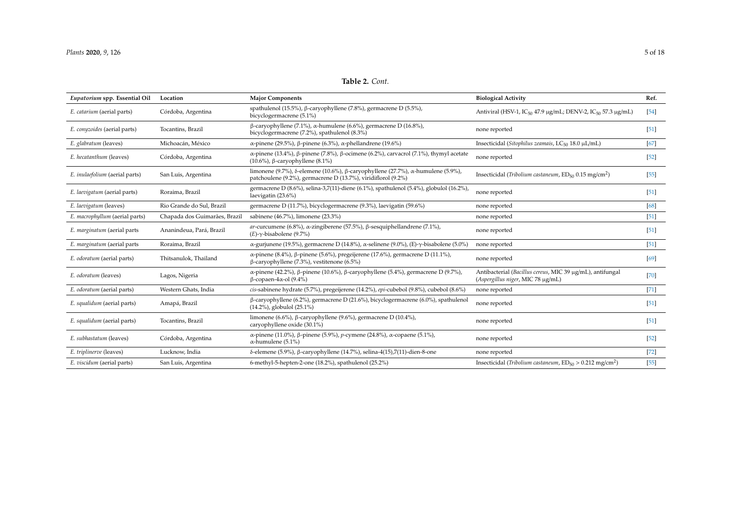# **Table 2.** *Cont.*

<span id="page-4-0"></span>

| Eupatorium spp. Essential Oil  | Location                      | <b>Major Components</b>                                                                                                                                                 | <b>Biological Activity</b>                                                                     | Ref.   |
|--------------------------------|-------------------------------|-------------------------------------------------------------------------------------------------------------------------------------------------------------------------|------------------------------------------------------------------------------------------------|--------|
| E. catarium (aerial parts)     | Córdoba, Argentina            | spathulenol (15.5%), $\beta$ -caryophyllene (7.8%), germacrene D (5.5%),<br>bicyclogermacrene (5.1%)                                                                    | Antiviral (HSV-1, IC <sub>50</sub> 47.9 μg/mL; DENV-2, IC <sub>50</sub> 57.3 μg/mL)            | 54     |
| E. conyzoides (aerial parts)   | Tocantins, Brazil             | $β$ -caryophyllene (7.1%), α-humulene (6.6%), germacrene D (16.8%),<br>bicyclogermacrene (7.2%), spathulenol (8.3%)                                                     | none reported                                                                                  | $[51]$ |
| E. glabratum (leaves)          | Michoacán, México             | α-pinene (29.5%), β-pinene (6.3%), α-phellandrene (19.6%)                                                                                                               | Insecticidal (Sitophilus zeamais, LC <sub>50</sub> 18.0 µL/mL)                                 | [67]   |
| E. hecatanthum (leaves)        | Córdoba, Argentina            | $\alpha$ -pinene (13.4%), β-pinene (7.8%), β-ocimene (6.2%), carvacrol (7.1%), thymyl acetate<br>(10.6%), $\beta$ -caryophyllene (8.1%)                                 | none reported                                                                                  | $[52]$ |
| E. inulaefolium (aerial parts) | San Luis, Argentina           | limonene (9.7%), $\delta$ -elemene (10.6%), $\beta$ -caryophyllene (27.7%), $\alpha$ -humulene (5.9%),<br>patchoulene (9.2%), germacrene D (13.7%), viridiflorol (9.2%) | Insecticidal (Tribolium castaneum, $ED_{50}$ 0.15 mg/cm <sup>2</sup> )                         | $[55]$ |
| E. laevigatum (aerial parts)   | Roraima, Brazil               | germacrene D (8.6%), selina-3,7(11)-diene (6.1%), spathulenol (5.4%), globulol (16.2%),<br>laevigatin (23.6%)                                                           | none reported                                                                                  | [51]   |
| E. laevigatum (leaves)         | Rio Grande do Sul, Brazil     | germacrene D (11.7%), bicyclogermacrene (9.3%), laevigatin (59.6%)                                                                                                      | none reported                                                                                  | [68]   |
| E. macrophyllum (aerial parts) | Chapada dos Guimarães, Brazil | sabinene (46.7%), limonene (23.3%)                                                                                                                                      | none reported                                                                                  | $[51]$ |
| E. marginatum (aerial parts    | Ananindeua, Pará, Brazil      | ar-curcumene (6.8%), $\alpha$ -zingiberene (57.5%), $\beta$ -sesquiphellandrene (7.1%),<br>$(E)$ - $\gamma$ -bisabolene (9.7%)                                          | none reported                                                                                  | $[51]$ |
| E. marginatum (aerial parts    | Roraima, Brazil               | $\alpha$ -gurjunene (19.5%), germacrene D (14.8%), $\alpha$ -selinene (9.0%), (E)- $\gamma$ -bisabolene (5.0%)                                                          | none reported                                                                                  | $[51]$ |
| E. odoratum (aerial parts)     | Thitsanulok, Thailand         | α-pinene (8.4%), β-pinene (5.6%), pregeijerene (17.6%), germacrene D (11.1%),<br>$\beta$ -caryophyllene (7.3%), vestitenone (6.5%)                                      | none reported                                                                                  | [69]   |
| E. odoratum (leaves)           | Lagos, Nigeria                | α-pinene (42.2%), β-pinene (10.6%), β-caryophyllene (5.4%), germacrene D (9.7%),<br>$\beta$ -copaen-4 $\alpha$ -ol (9.4%)                                               | Antibacterial (Bacillus cereus, MIC 39 µg/mL), antifungal<br>(Aspergillus niger, MIC 78 µg/mL) | $[70]$ |
| E. odoratum (aerial parts)     | Western Ghats, India          | cis-sabinene hydrate (5.7%), pregeijerene (14.2%), epi-cubebol (9.8%), cubebol (8.6%)                                                                                   | none reported                                                                                  | $[71]$ |
| E. squalidum (aerial parts)    | Amapá, Brazil                 | $\beta$ -caryophyllene (6.2%), germacrene D (21.6%), bicyclogermacrene (6.0%), spathulenol<br>(14.2%), globulol (25.1%)                                                 | none reported                                                                                  | $[51]$ |
| E. squalidum (aerial parts)    | Tocantins, Brazil             | limonene (6.6%), $\beta$ -caryophyllene (9.6%), germacrene D (10.4%),<br>caryophyllene oxide (30.1%)                                                                    | none reported                                                                                  | [51]   |
| E. subhastatum (leaves)        | Córdoba, Argentina            | α-pinene (11.0%), β-pinene (5.9%), p-cymene (24.8%), α-copaene (5.1%),<br>$\alpha$ -humulene (5.1%)                                                                     | none reported                                                                                  | $[52]$ |
| E. triplinerve (leaves)        | Lucknow, India                | δ-elemene (5.9%), β-caryophyllene (14.7%), selina-4(15), 7(11)-dien-8-one                                                                                               | none reported                                                                                  | $[72]$ |
| E. viscidum (aerial parts)     | San Luis, Argentina           | 6-methyl-5-hepten-2-one (18.2%), spathulenol (25.2%)                                                                                                                    | Insecticidal (Tribolium castaneum, $ED_{50} > 0.212$ mg/cm <sup>2</sup> )                      | $[55]$ |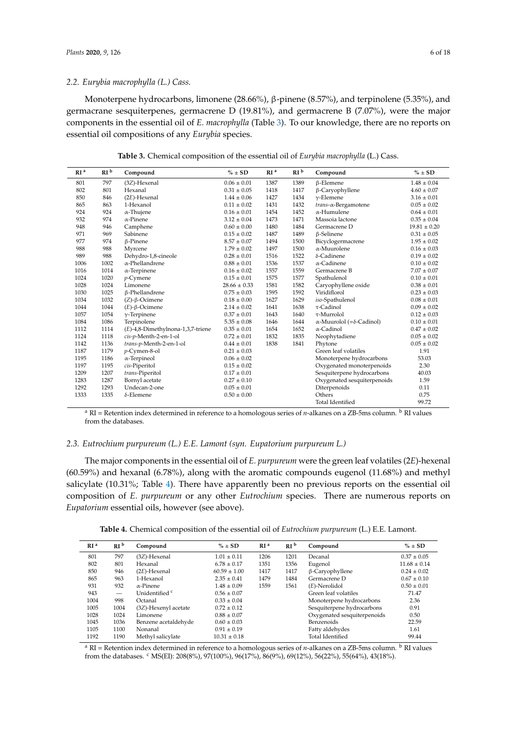### *2.2. Eurybia macrophylla (L.) Cass.*

Monoterpene hydrocarbons, limonene (28.66%), β-pinene (8.57%), and terpinolene (5.35%), and germacrane sesquiterpenes, germacrene D (19.81%), and germacrene B (7.07%), were the major components in the essential oil of *E. macrophylla* (Table [3\)](#page-5-0). To our knowledge, there are no reports on essential oil compositions of any *Eurybia* species.

**Table 3.** Chemical composition of the essential oil of *Eurybia macrophylla* (L.) Cass.

<span id="page-5-0"></span>

| RI <sup>a</sup> | RI <sup>b</sup> | Compound                             | $% \pm SD$       | RI <sup>a</sup> | RI <sup>b</sup> | Compound                                 | $% \pm SD$       |
|-----------------|-----------------|--------------------------------------|------------------|-----------------|-----------------|------------------------------------------|------------------|
| 801             | 797             | (3Z)-Hexenal                         | $0.06 \pm 0.01$  | 1387            | 1389            | $\beta$ -Elemene                         | $1.48 \pm 0.04$  |
| 802             | 801             | Hexanal                              | $0.31 \pm 0.05$  | 1418            | 1417            | $\beta$ -Caryophyllene                   | $4.60 \pm 0.07$  |
| 850             | 846             | $(2E)$ -Hexenal                      | $1.44 \pm 0.06$  | 1427            | 1434            | $v$ -Elemene                             | $3.16 \pm 0.01$  |
| 865             | 863             | 1-Hexanol                            | $0.11 \pm 0.02$  | 1431            | 1432            | trans-a-Bergamotene                      | $0.05 \pm 0.02$  |
| 924             | 924             | $\alpha$ -Thujene                    | $0.16 \pm 0.01$  | 1454            | 1452            | $\alpha$ -Humulene                       | $0.64 \pm 0.01$  |
| 932             | 974             | $\alpha$ -Pinene                     | $3.12 \pm 0.04$  | 1473            | 1471            | Massoia lactone                          | $0.35 \pm 0.04$  |
| 948             | 946             | Camphene                             | $0.60 \pm 0.00$  | 1480            | 1484            | Germacrene D                             | $19.81 \pm 0.20$ |
| 971             | 969             | Sabinene                             | $0.15 \pm 0.02$  | 1487            | 1489            | $\beta$ -Selinene                        | $0.31 \pm 0.05$  |
| 977             | 974             | β-Pinene                             | $8.57 \pm 0.07$  | 1494            | 1500            | Bicyclogermacrene                        | $1.95 \pm 0.02$  |
| 988             | 988             | Myrcene                              | $1.79 \pm 0.02$  | 1497            | 1500            | $\alpha$ -Muurolene                      | $0.16 \pm 0.03$  |
| 989             | 988             | Dehydro-1,8-cineole                  | $0.28 \pm 0.01$  | 1516            | 1522            | δ-Cadinene                               | $0.19 \pm 0.02$  |
| 1006            | 1002            | $\alpha$ -Phellandrene               | $0.88 \pm 0.01$  | 1536            | 1537            | $\alpha$ -Cadinene                       | $0.10 \pm 0.02$  |
| 1016            | 1014            | $\alpha$ -Terpinene                  | $0.16 \pm 0.02$  | 1557            | 1559            | Germacrene B                             | $7.07 \pm 0.07$  |
| 1024            | 1020            | $p$ -Cymene                          | $0.15 \pm 0.01$  | 1575            | 1577            | Spathulenol                              | $0.10 \pm 0.01$  |
| 1028            | 1024            | Limonene                             | $28.66 \pm 0.33$ | 1581            | 1582            | Caryophyllene oxide                      | $0.38 \pm 0.01$  |
| 1030            | 1025            | β-Phellandrene                       | $0.75 \pm 0.03$  | 1595            | 1592            | Viridiflorol                             | $0.23 \pm 0.03$  |
| 1034            | 1032            | $(Z)$ - $\beta$ -Ocimene             | $0.18 \pm 0.00$  | 1627            | 1629            | iso-Spathulenol                          | $0.08 \pm 0.01$  |
| 1044            | 1044            | $(E)$ - $\beta$ -Ocimene             | $2.14 \pm 0.02$  | 1641            | 1638            | $\tau$ -Cadinol                          | $0.09 \pm 0.02$  |
| 1057            | 1054            | $\gamma$ -Terpinene                  | $0.37 \pm 0.01$  | 1643            | 1640            | $\tau$ -Murrolol                         | $0.12 \pm 0.03$  |
| 1084            | 1086            | Terpinolene                          | $5.35 \pm 0.08$  | 1646            | 1644            | $\alpha$ -Muurolol (= $\delta$ -Cadinol) | $0.10 \pm 0.01$  |
| 1112            | 1114            | $(E)$ -4,8-Dimethylnona-1,3,7-triene | $0.35 \pm 0.01$  | 1654            | 1652            | $\alpha$ -Cadinol                        | $0.47 \pm 0.02$  |
| 1124            | 1118            | cis-p-Menth-2-en-1-ol                | $0.72 \pm 0.01$  | 1832            | 1835            | Neophytadiene                            | $0.05 \pm 0.02$  |
| 1142            | 1136            | trans-p-Menth-2-en-1-ol              | $0.44 \pm 0.01$  | 1838            | 1841            | Phytone                                  | $0.05 \pm 0.02$  |
| 1187            | 1179            | p-Cymen-8-ol                         | $0.21 \pm 0.03$  |                 |                 | Green leaf volatiles                     | 1.91             |
| 1195            | 1186            | $\alpha$ -Terpineol                  | $0.06 \pm 0.02$  |                 |                 | Monoterpene hydrocarbons                 | 53.03            |
| 1197            | 1195            | cis-Piperitol                        | $0.15 \pm 0.02$  |                 |                 | Oxygenated monoterpenoids                | 2.30             |
| 1209            | 1207            | trans-Piperitol                      | $0.17 \pm 0.01$  |                 |                 | Sesquiterpene hydrocarbons               | 40.03            |
| 1283            | 1287            | Bornyl acetate                       | $0.27 \pm 0.10$  |                 |                 | Oxygenated sesquiterpenoids              | 1.59             |
| 1292            | 1293            | Undecan-2-one                        | $0.05 \pm 0.01$  |                 |                 | Diterpenoids                             | 0.11             |
| 1333            | 1335            | $\delta$ -Elemene                    | $0.50 \pm 0.00$  |                 |                 | Others                                   | 0.75             |
|                 |                 |                                      |                  |                 |                 | <b>Total Identified</b>                  | 99.72            |

<sup>a</sup> RI = Retention index determined in reference to a homologous series of *n*-alkanes on a ZB-5ms column. <sup>b</sup> RI values from the databases.

## *2.3. Eutrochium purpureum (L.) E.E. Lamont (syn. Eupatorium purpureum L.)*

The major components in the essential oil of *E. purpureum* were the green leaf volatiles (2*E*)-hexenal (60.59%) and hexanal (6.78%), along with the aromatic compounds eugenol (11.68%) and methyl salicylate (10.31%; Table [4\)](#page-5-1). There have apparently been no previous reports on the essential oil composition of *E. purpureum* or any other *Eutrochium* species. There are numerous reports on *Eupatorium* essential oils, however (see above).

**Table 4.** Chemical composition of the essential oil of *Eutrochium purpureum* (L.) E.E. Lamont.

<span id="page-5-1"></span>

| RI <sup>a</sup> | RI <sup>b</sup>          | Compound             | $\% \pm SD$      | RI <sup>a</sup> | RI <sup>b</sup> | Compound                    | $\% \pm SD$      |
|-----------------|--------------------------|----------------------|------------------|-----------------|-----------------|-----------------------------|------------------|
| 801             | 797                      | (3Z)-Hexenal         | $1.01 \pm 0.11$  | 1206            | 1201            | Decanal                     | $0.37 \pm 0.05$  |
| 802             | 801                      | Hexanal              | $6.78 \pm 0.17$  | 1351            | 1356            | Eugenol                     | $11.68 \pm 0.14$ |
| 850             | 946                      | $(2E)$ -Hexenal      | $60.59 \pm 1.00$ | 1417            | 1417            | $\beta$ -Caryophyllene      | $0.24 \pm 0.02$  |
| 865             | 963                      | 1-Hexanol            | $2.35 \pm 0.41$  | 1479            | 1484            | Germacrene D                | $0.67 \pm 0.10$  |
| 931             | 932                      | $\alpha$ -Pinene     | $1.48 \pm 0.09$  | 1559            | 1561            | $(E)$ -Nerolidol            | $0.50 \pm 0.01$  |
| 943             | $\overline{\phantom{m}}$ | Unidentified c       | $0.56 \pm 0.07$  |                 |                 | Green leaf volatiles        | 71.47            |
| 1004            | 998                      | Octanal              | $0.33 \pm 0.04$  |                 |                 | Monoterpene hydrocarbons    | 2.36             |
| 1005            | 1004                     | (3Z)-Hexenyl acetate | $0.72 \pm 0.12$  |                 |                 | Sesquiterpene hydrocarbons  | 0.91             |
| 1028            | 1024                     | Limonene             | $0.88 \pm 0.07$  |                 |                 | Oxygenated sesquiterpenoids | 0.50             |
| 1045            | 1036                     | Benzene acetaldehyde | $0.60 \pm 0.03$  |                 |                 | Benzenoids                  | 22.59            |
| 1105            | 1100                     | Nonanal              | $0.91 \pm 0.19$  |                 |                 | Fatty aldehydes             | 1.61             |
| 1192            | 1190                     | Methyl salicylate    | $10.31 \pm 0.18$ |                 |                 | <b>Total Identified</b>     | 99.44            |

<sup>a</sup> RI = Retention index determined in reference to a homologous series of *n*-alkanes on a ZB-5ms column. <sup>b</sup> RI values from the databases. <sup>c</sup> MS(EI): 208(8%), 97(100%), 96(17%), 86(9%), 69(12%), 56(22%), 55(64%), 43(18%).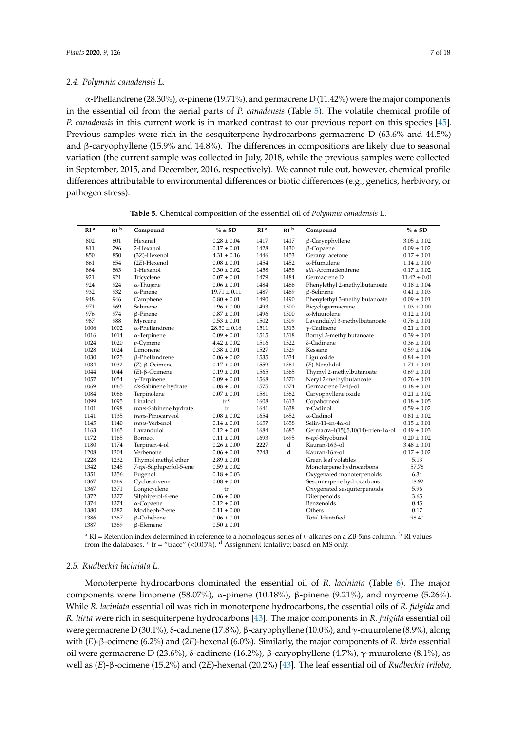α-Phellandrene (28.30%), α-pinene (19.71%), and germacrene D (11.42%) were themajor components in the essential oil from the aerial parts of *P. canadensis* (Table [5\)](#page-6-0). The volatile chemical profile of *P. canadensis* in this current work is in marked contrast to our previous report on this species [\[45\]](#page-15-0). Previous samples were rich in the sesquiterpene hydrocarbons germacrene D (63.6% and 44.5%) and β-caryophyllene (15.9% and 14.8%). The differences in compositions are likely due to seasonal variation (the current sample was collected in July, 2018, while the previous samples were collected in September, 2015, and December, 2016, respectively). We cannot rule out, however, chemical profile differences attributable to environmental differences or biotic differences (e.g., genetics, herbivory, or pathogen stress).

<span id="page-6-0"></span>

| RI <sup>a</sup> | RI <sup>b</sup> | Compound                 | $% \pm SD$         | RI <sup>a</sup> | RI <sup>b</sup> | Compound                                     | $% \pm SD$       |
|-----------------|-----------------|--------------------------|--------------------|-----------------|-----------------|----------------------------------------------|------------------|
| 802             | 801             | Hexanal                  | $0.28 \pm 0.04$    | 1417            | 1417            | $\beta$ -Caryophyllene                       | $3.05 \pm 0.02$  |
| 811             | 796             | 2-Hexanol                | $0.17 \pm 0.01$    | 1428            | 1430            | $\beta$ -Copaene                             | $0.09 \pm 0.02$  |
| 850             | 850             | (3Z)-Hexenol             | $4.31 \pm 0.16$    | 1446            | 1453            | Geranyl acetone                              | $0.17 \pm 0.01$  |
| 861             | 854             | $(2E)$ -Hexenol          | $0.08 \pm 0.01$    | 1454            | 1452            | $\alpha$ -Humulene                           | $1.14 \pm 0.00$  |
| 864             | 863             | 1-Hexanol                | $0.30 \pm 0.02$    | 1458            | 1458            | allo-Aromadendrene                           | $0.17 \pm 0.02$  |
| 921             | 921             | Tricyclene               | $0.07 \pm 0.01$    | 1479            | 1484            | Germacrene D                                 | $11.42 \pm 0.01$ |
| 924             | 924             | $\alpha$ -Thujene        | $0.06 \pm 0.01$    | 1484            | 1486            | Phenylethyl 2-methylbutanoate                | $0.18 \pm 0.04$  |
| 932             | 932             | $\alpha$ -Pinene         | $19.71 \pm 0.11$   | 1487            | 1489            | $\beta$ -Selinene                            | $0.41 \pm 0.03$  |
| 948             | 946             | Camphene                 | $0.80 \pm 0.01$    | 1490            | 1490            | Phenylethyl 3-methylbutanoate                | $0.09 \pm 0.01$  |
| 971             | 969             | Sabinene                 | $1.96 \pm 0.00$    | 1493            | 1500            | Bicyclogermacrene                            | $1.03 \pm 0.00$  |
| 976             | 974             | $\beta$ -Pinene          | $0.87 \pm 0.01$    | 1496            | 1500            | $\alpha$ -Muurolene                          | $0.12 \pm 0.01$  |
| 987             | 988             | Myrcene                  | $0.53 \pm 0.01$    | 1502            | 1509            | Lavandulyl 3-methylbutanoate                 | $0.76 \pm 0.01$  |
| 1006            | 1002            | $\alpha$ -Phellandrene   | $28.30 \pm 0.16$   | 1511            | 1513            | $\gamma$ -Cadinene                           | $0.21 \pm 0.01$  |
| 1016            | 1014            | $\alpha$ -Terpinene      | $0.09 \pm 0.01$    | 1515            | 1518            | Bornyl 3-methylbutanoate                     | $0.39 \pm 0.01$  |
| 1024            | 1020            | $p$ -Cymene              | $4.42 \pm 0.02$    | 1516            | 1522            | δ-Cadinene                                   | $0.36 \pm 0.01$  |
| 1028            | 1024            | Limonene                 | $0.38 \pm 0.01$    | 1527            | 1529            | Kessane                                      | $0.59 \pm 0.04$  |
| 1030            | 1025            | <b>ß-Phellandrene</b>    | $0.06 \pm 0.02$    | 1535            | 1534            | Liguloxide                                   | $0.84 \pm 0.01$  |
| 1034            | 1032            | $(Z)$ - $\beta$ -Ocimene | $0.17 \pm 0.01$    | 1559            | 1561            | $(E)$ -Nerolidol                             | $1.71 \pm 0.01$  |
| 1044            | 1044            | $(E)$ - $\beta$ -Ocimene | $0.19 \pm 0.01$    | 1565            | 1565            | Thymyl 2-methylbutanoate                     | $0.69 \pm 0.01$  |
| 1057            | 1054            | $\gamma$ -Terpinene      | $0.09 \pm 0.01$    | 1568            | 1570            | Neryl 2-methylbutanoate                      | $0.76 \pm 0.01$  |
| 1069            | 1065            | cis-Sabinene hydrate     | $0.08 \pm 0.01$    | 1575            | 1574            | Germacrene D-4ß-ol                           | $0.18 \pm 0.01$  |
| 1084            | 1086            | Terpinolene              | $0.07 \pm 0.01$    | 1581            | 1582            | Caryophyllene oxide                          | $0.21 \pm 0.02$  |
| 1099            | 1095            | Linalool                 | $\rm{tr}$ $\rm{c}$ | 1608            | 1613            | Copaborneol                                  | $0.18 \pm 0.05$  |
| 1101            | 1098            | trans-Sabinene hydrate   | tr                 | 1641            | 1638            | $\tau$ -Cadinol                              | $0.59 \pm 0.02$  |
| 1141            | 1135            | trans-Pinocarveol        | $0.08\pm0.02$      | 1654            | 1652            | $\alpha$ -Cadinol                            | $0.81 \pm 0.02$  |
| 1145            | 1140            | trans-Verbenol           | $0.14 \pm 0.01$    | 1657            | 1658            | Selin-11-en- $4\alpha$ -ol                   | $0.15 \pm 0.01$  |
| 1163            | 1165            | Lavandulol               | $0.12 \pm 0.01$    | 1684            | 1685            | Germacra-4(15),5,10(14)-trien-1 $\alpha$ -ol | $0.49 \pm 0.03$  |
| 1172            | 1165            | Borneol                  | $0.11 \pm 0.01$    | 1693            | 1695            | 6-epi-Shyobunol                              | $0.20 \pm 0.02$  |
| 1180            | 1174            | Terpinen-4-ol            | $0.26 \pm 0.00$    | 2227            | d               | Kauran-16β-ol                                | $3.48 \pm 0.01$  |
| 1208            | 1204            | Verbenone                | $0.06 \pm 0.01$    | 2243            | d               | Kauran-16α-ol                                | $0.17 \pm 0.02$  |
| 1228            | 1232            | Thymol methyl ether      | $2.89 \pm 0.01$    |                 |                 | Green leaf volatiles                         | 5.13             |
| 1342            | 1345            | 7-epi-Silphiperfol-5-ene | $0.59 \pm 0.02$    |                 |                 | Monoterpene hydrocarbons                     | 57.78            |
| 1351            | 1356            | Eugenol                  | $0.18 \pm 0.03$    |                 |                 | Oxygenated monoterpenoids                    | 6.34             |
| 1367            | 1369            | Cyclosativene            | $0.08 \pm 0.01$    |                 |                 | Sesquiterpene hydrocarbons                   | 18.92            |
| 1367            | 1371            | Longicyclene             | tr                 |                 |                 | Oxygenated sesquiterpenoids                  | 5.96             |
| 1372            | 1377            | Silphiperol-6-ene        | $0.06 \pm 0.00$    |                 |                 | Diterpenoids                                 | 3.65             |
| 1374            | 1374            | $\alpha$ -Copaene        | $0.12 \pm 0.01$    |                 |                 | Benzenoids                                   | 0.45             |
| 1380            | 1382            | Modheph-2-ene            | $0.11 \pm 0.00$    |                 |                 | Others                                       | 0.17             |
| 1386            | 1387            | β-Cubebene               | $0.06 \pm 0.01$    |                 |                 | Total Identified                             | 98.40            |
| 1387            | 1389            | $\beta$ -Elemene         | $0.50 \pm 0.01$    |                 |                 |                                              |                  |

**Table 5.** Chemical composition of the essential oil of *Polymnia canadensis* L.

<sup>a</sup> RI = Retention index determined in reference to a homologous series of *n*-alkanes on a ZB-5ms column. <sup>b</sup> RI values from the databases.  $\text{c tr} = \text{``trace''}$  (<0.05%).  $\text{d}$  Assignment tentative; based on MS only.

# *2.5. Rudbeckia laciniata L.*

Monoterpene hydrocarbons dominated the essential oil of *R. laciniata* (Table [6\)](#page-7-0). The major components were limonene (58.07%), α-pinene (10.18%), β-pinene (9.21%), and myrcene (5.26%). While *R. laciniata* essential oil was rich in monoterpene hydrocarbons, the essential oils of *R. fulgida* and *R. hirta* were rich in sesquiterpene hydrocarbons [\[43\]](#page-14-11). The major components in *R. fulgida* essential oil were germacrene D (30.1%), δ-cadinene (17.8%), β-caryophyllene (10.0%), and γ-muurolene (8.9%), along with (*E*)-β-ocimene (6.2%) and (2*E*)-hexenal (6.0%). Similarly, the major components of *R. hirta* essential oil were germacrene D (23.6%), δ-cadinene (16.2%), β-caryophyllene (4.7%), γ-muurolene (8.1%), as well as (*E*)-β-ocimene (15.2%) and (2*E*)-hexenal (20.2%) [\[43\]](#page-14-11). The leaf essential oil of *Rudbeckia triloba*,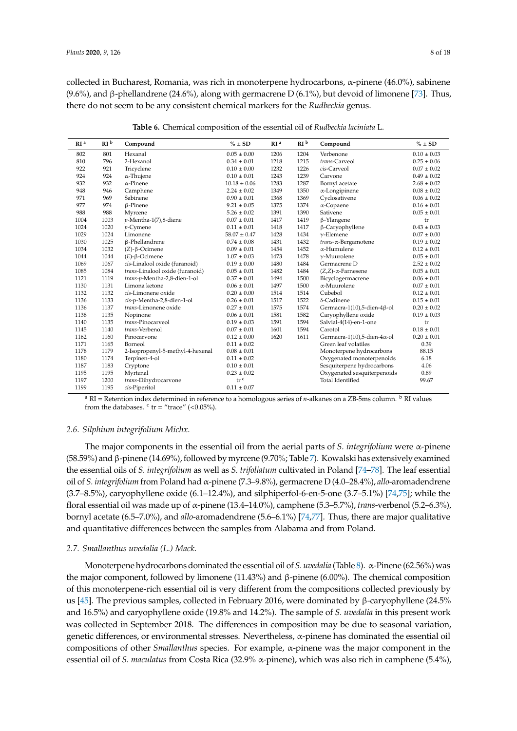collected in Bucharest, Romania, was rich in monoterpene hydrocarbons, α-pinene (46.0%), sabinene (9.6%), and β-phellandrene (24.6%), along with germacrene D (6.1%), but devoid of limonene [\[73\]](#page-16-7). Thus, there do not seem to be any consistent chemical markers for the *Rudbeckia* genus.

<span id="page-7-0"></span>

| RI <sup>a</sup> | RI <sup>b</sup> | Compound                         | $% \pm SD$       | RI <sup>a</sup> | RI <sup>b</sup> | Compound                             | $% \pm SD$      |
|-----------------|-----------------|----------------------------------|------------------|-----------------|-----------------|--------------------------------------|-----------------|
| 802             | 801             | Hexanal                          | $0.05 \pm 0.00$  | 1206            | 1204            | Verbenone                            | $0.10 \pm 0.03$ |
| 810             | 796             | 2-Hexanol                        | $0.34 \pm 0.01$  | 1218            | 1215            | trans-Carveol                        | $0.25 \pm 0.06$ |
| 922             | 921             | Tricyclene                       | $0.10 \pm 0.00$  | 1232            | 1226            | cis-Carveol                          | $0.07 \pm 0.02$ |
| 924             | 924             | $\alpha$ -Thujene                | $0.10\pm0.01$    | 1243            | 1239            | Carvone                              | $0.49 \pm 0.02$ |
| 932             | 932             | $\alpha$ -Pinene                 | $10.18 \pm 0.06$ | 1283            | 1287            | Bornyl acetate                       | $2.68 \pm 0.02$ |
| 948             | 946             | Camphene                         | $2.24 \pm 0.02$  | 1349            | 1350            | $\alpha$ -Longipinene                | $0.08 \pm 0.02$ |
| 971             | 969             | Sabinene                         | $0.90 \pm 0.01$  | 1368            | 1369            | Cyclosativene                        | $0.06 \pm 0.02$ |
| 977             | 974             | $\beta$ -Pinene                  | $9.21 \pm 0.05$  | 1375            | 1374            | $\alpha$ -Copaene                    | $0.16 \pm 0.01$ |
| 988             | 988             | Myrcene                          | $5.26 \pm 0.02$  | 1391            | 1390            | Sativene                             | $0.05 \pm 0.01$ |
| 1004            | 1003            | $p$ -Mentha-1(7),8-diene         | $0.07 \pm 0.01$  | 1417            | 1419            | $\beta$ -Ylangene                    | tr              |
| 1024            | 1020            | $p$ -Cymene                      | $0.11 \pm 0.01$  | 1418            | 1417            | $\beta$ -Caryophyllene               | $0.43 \pm 0.03$ |
| 1029            | 1024            | Limonene                         | $58.07 \pm 0.47$ | 1428            | 1434            | $\nu$ -Elemene                       | $0.07 \pm 0.00$ |
| 1030            | 1025            | β-Phellandrene                   | $0.74 \pm 0.08$  | 1431            | 1432            | trans-α-Bergamotene                  | $0.19 \pm 0.02$ |
| 1034            | 1032            | $(Z)$ - $\beta$ -Ocimene         | $0.09 \pm 0.01$  | 1454            | 1452            | $\alpha$ -Humulene                   | $0.12 \pm 0.01$ |
| 1044            | 1044            | $(E)$ - $\beta$ -Ocimene         | $1.07 \pm 0.03$  | 1473            | 1478            | $\gamma$ -Muurolene                  | $0.05 \pm 0.01$ |
| 1069            | 1067            | cis-Linalool oxide (furanoid)    | $0.19 \pm 0.00$  | 1480            | 1484            | Germacrene D                         | $2.52 \pm 0.02$ |
| 1085            | 1084            | trans-Linalool oxide (furanoid)  | $0.05 \pm 0.01$  | 1482            | 1484            | $(Z,Z)$ - $\alpha$ -Farnesene        | $0.05 \pm 0.01$ |
| 1121            | 1119            | trans-p-Mentha-2,8-dien-1-ol     | $0.37 \pm 0.01$  | 1494            | 1500            | Bicyclogermacrene                    | $0.06 \pm 0.01$ |
| 1130            | 1131            | Limona ketone                    | $0.06 \pm 0.01$  | 1497            | 1500            | $\alpha$ -Muurolene                  | $0.07 \pm 0.01$ |
| 1132            | 1132            | cis-Limonene oxide               | $0.20 \pm 0.00$  | 1514            | 1514            | Cubebol                              | $0.12 \pm 0.01$ |
| 1136            | 1133            | cis-p-Mentha-2,8-dien-1-ol       | $0.26 \pm 0.01$  | 1517            | 1522            | $\delta$ -Cadinene                   | $0.15 \pm 0.01$ |
| 1136            | 1137            | trans-Limonene oxide             | $0.27 \pm 0.01$  | 1575            | 1574            | Germacra-1(10),5-dien-4 $\beta$ -ol  | $0.20 \pm 0.02$ |
| 1138            | 1135            | Nopinone                         | $0.06 \pm 0.01$  | 1581            | 1582            | Caryophyllene oxide                  | $0.19 \pm 0.03$ |
| 1140            | 1135            | trans-Pinocarveol                | $0.19 \pm 0.03$  | 1591            | 1594            | Salvial-4(14)-en-1-one               | tr              |
| 1145            | 1140            | trans-Verbenol                   | $0.07 \pm 0.01$  | 1601            | 1594            | Carotol                              | $0.18 \pm 0.01$ |
| 1162            | 1160            | Pinocarvone                      | $0.12 \pm 0.00$  | 1620            | 1611            | Germacra-1(10),5-dien-4 $\alpha$ -ol | $0.20 \pm 0.01$ |
| 1171            | 1165            | Borneol                          | $0.11 \pm 0.02$  |                 |                 | Green leaf volatiles                 | 0.39            |
| 1178            | 1179            | 2-Isopropenyl-5-methyl-4-hexenal | $0.08 \pm 0.01$  |                 |                 | Monoterpene hydrocarbons             | 88.15           |
| 1180            | 1174            | Terpinen-4-ol                    | $0.11 \pm 0.02$  |                 |                 | Oxygenated monoterpenoids            | 6.18            |
| 1187            | 1183            | Cryptone                         | $0.10 \pm 0.01$  |                 |                 | Sesquiterpene hydrocarbons           | 4.06            |
| 1195            | 1195            | Myrtenal                         | $0.23 \pm 0.02$  |                 |                 | Oxygenated sesquiterpenoids          | 0.89            |
| 1197            | 1200            | trans-Dihydrocarvone             | tr <sup>c</sup>  |                 |                 | <b>Total Identified</b>              | 99.67           |
| 1199            | 1195            | cis-Piperitol                    | $0.11 \pm 0.07$  |                 |                 |                                      |                 |

**Table 6.** Chemical composition of the essential oil of *Rudbeckia laciniata* L.

<sup>a</sup> RI = Retention index determined in reference to a homologous series of *n*-alkanes on a ZB-5ms column. <sup>b</sup> RI values from the databases.  $\text{c tr} = \text{``trace'' } (<0.05\%)$ .

## *2.6. Silphium integrifolium Michx.*

The major components in the essential oil from the aerial parts of *S. integrifolium* were α-pinene (58.59%) andβ-pinene (14.69%), followed by myrcene (9.70%; Table [7\)](#page-8-0). Kowalski has extensively examined the essential oils of *S. integrifolium* as well as *S. trifoliatum* cultivated in Poland [\[74](#page-16-8)[–78\]](#page-16-9). The leaf essential oil of *S. integrifolium* from Poland had α-pinene (7.3–9.8%), germacrene D (4.0–28.4%), *allo*-aromadendrene (3.7–8.5%), caryophyllene oxide (6.1–12.4%), and silphiperfol-6-en-5-one (3.7–5.1%) [\[74](#page-16-8)[,75\]](#page-16-10); while the floral essential oil was made up of α-pinene (13.4–14.0%), camphene (5.3–5.7%), *trans*-verbenol (5.2–6.3%), bornyl acetate (6.5–7.0%), and *allo*-aromadendrene (5.6–6.1%) [\[74,](#page-16-8)[77\]](#page-16-11). Thus, there are major qualitative and quantitative differences between the samples from Alabama and from Poland.

#### *2.7. Smallanthus uvedalia (L.) Mack.*

Monoterpene hydrocarbons dominated the essential oil of *S. uvedalia* (Table [8\)](#page-8-1). α-Pinene (62.56%) was the major component, followed by limonene (11.43%) and β-pinene (6.00%). The chemical composition of this monoterpene-rich essential oil is very different from the compositions collected previously by us [\[45\]](#page-15-0). The previous samples, collected in February 2016, were dominated by β-caryophyllene (24.5% and 16.5%) and caryophyllene oxide (19.8% and 14.2%). The sample of *S. uvedalia* in this present work was collected in September 2018. The differences in composition may be due to seasonal variation, genetic differences, or environmental stresses. Nevertheless, α-pinene has dominated the essential oil compositions of other *Smallanthus* species. For example, α-pinene was the major component in the essential oil of *S. maculatus* from Costa Rica (32.9% α-pinene), which was also rich in camphene (5.4%),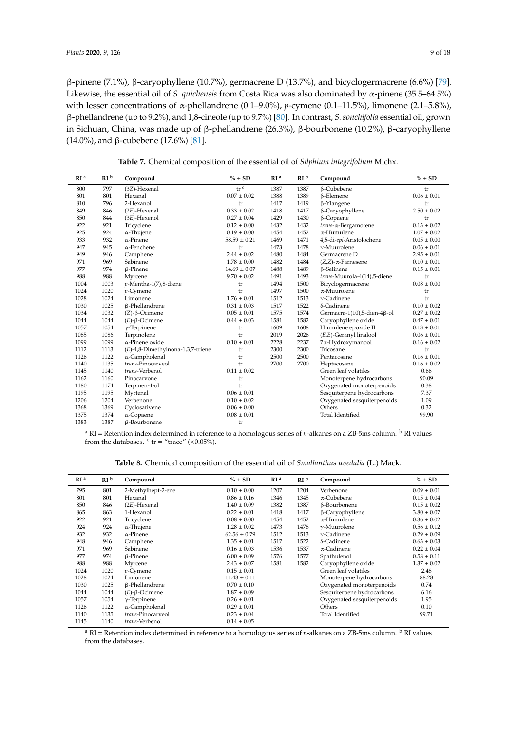β-pinene (7.1%), β-caryophyllene (10.7%), germacrene D (13.7%), and bicyclogermacrene (6.6%) [\[79\]](#page-16-12). Likewise, the essential oil of *S. quichensis* from Costa Rica was also dominated by α-pinene (35.5–64.5%) with lesser concentrations of α-phellandrene (0.1–9.0%), *p*-cymene (0.1–11.5%), limonene (2.1–5.8%), β-phellandrene (up to 9.2%), and 1,8-cineole (up to 9.7%) [\[80\]](#page-16-13). In contrast, *S. sonchifolia* essential oil, grown in Sichuan, China, was made up of β-phellandrene (26.3%), β-bourbonene (10.2%), β-caryophyllene (14.0%), and β-cubebene (17.6%) [\[81\]](#page-16-14).

**Table 7.** Chemical composition of the essential oil of *Silphium integrifolium* Michx.

<span id="page-8-0"></span>

| RI <sup>a</sup> | RI <sup>b</sup> | Compound                          | $% \pm SD$                               | RI <sup>a</sup> | RI <sup>b</sup> | Compound                      | $% \pm SD$      |
|-----------------|-----------------|-----------------------------------|------------------------------------------|-----------------|-----------------|-------------------------------|-----------------|
| 800             | 797             | (3Z)-Hexenal                      | $\operatorname{tr}^{\,\operatorname{c}}$ | 1387            | 1387            | β-Cubebene                    | tr              |
| 801             | 801             | Hexanal                           | $0.07 \pm 0.02$                          | 1388            | 1389            | $\beta$ -Elemene              | $0.06 \pm 0.01$ |
| 810             | 796             | 2-Hexanol                         | tr                                       | 1417            | 1419            | $\beta$ -Ylangene             | tr              |
| 849             | 846             | $(2E)$ -Hexenal                   | $0.33 \pm 0.02$                          | 1418            | 1417            | $\beta$ -Caryophyllene        | $2.50 \pm 0.02$ |
| 850             | 844             | $(3E)$ -Hexenol                   | $0.27 \pm 0.04$                          | 1429            | 1430            | $\beta$ -Copaene              | tr              |
| 922             | 921             | Tricyclene                        | $0.12 \pm 0.00$                          | 1432            | 1432            | $trans-\alpha$ -Bergamotene   | $0.13 \pm 0.02$ |
| 925             | 924             | $\alpha$ -Thujene                 | $0.19 \pm 0.00$                          | 1454            | 1452            | $\alpha$ -Humulene            | $1.07 \pm 0.02$ |
| 933             | 932             | $\alpha$ -Pinene                  | $58.59 \pm 0.21$                         | 1469            | 1471            | 4,5-di-epi-Aristolochene      | $0.05 \pm 0.00$ |
| 947             | 945             | $\alpha$ -Fenchene                | tr                                       | 1473            | 1478            | $\gamma$ -Muurolene           | $0.06 \pm 0.01$ |
| 949             | 946             | Camphene                          | $2.44 \pm 0.02$                          | 1480            | 1484            | Germacrene D                  | $2.95 \pm 0.01$ |
| 971             | 969             | Sabinene                          | $1.78 \pm 0.00$                          | 1482            | 1484            | $(Z,Z)$ - $\alpha$ -Farnesene | $0.10 \pm 0.01$ |
| 977             | 974             | $\beta$ -Pinene                   | $14.69 \pm 0.07$                         | 1488            | 1489            | $\beta$ -Selinene             | $0.15 \pm 0.01$ |
| 988             | 988             | Myrcene                           | $9.70 \pm 0.02$                          | 1491            | 1493            | trans-Muurola-4(14),5-diene   | tr              |
| 1004            | 1003            | $p$ -Mentha-1(7),8-diene          | tr                                       | 1494            | 1500            | Bicyclogermacrene             | $0.08 \pm 0.00$ |
| 1024            | 1020            | $p$ -Cymene                       | tr                                       | 1497            | 1500            | $\alpha$ -Muurolene           | tr              |
| 1028            | 1024            | Limonene                          | $1.76 \pm 0.01$                          | 1512            | 1513            | $\gamma$ -Cadinene            | tr              |
| 1030            | 1025            | β-Phellandrene                    | $0.31 \pm 0.03$                          | 1517            | 1522            | $\delta$ -Cadinene            | $0.10 \pm 0.02$ |
| 1034            | 1032            | $(Z)$ - $\beta$ -Ocimene          | $0.05 \pm 0.01$                          | 1575            | 1574            | Germacra-1(10),5-dien-4β-ol   | $0.27 \pm 0.02$ |
| 1044            | 1044            | $(E)$ - $\beta$ -Ocimene          | $0.44 \pm 0.03$                          | 1581            | 1582            | Caryophyllene oxide           | $0.47 \pm 0.01$ |
| 1057            | 1054            | $\gamma$ -Terpinene               | tr                                       | 1609            | 1608            | Humulene epoxide II           | $0.13 \pm 0.01$ |
| 1085            | 1086            | Terpinolene                       | tr                                       | 2019            | 2026            | $(E,E)$ -Geranyl linalool     | $0.06 \pm 0.01$ |
| 1099            | 1099            | $\alpha$ -Pinene oxide            | $0.10 \pm 0.01$                          | 2228            | 2237            | 7α-Hydroxymanool              | $0.16 \pm 0.02$ |
| 1112            | 1113            | (E)-4,8-Dimethylnona-1,3,7-triene | tr                                       | 2300            | 2300            | Tricosane                     | tr              |
| 1126            | 1122            | $\alpha$ -Campholenal             | tr                                       | 2500            | 2500            | Pentacosane                   | $0.16 \pm 0.01$ |
| 1140            | 1135            | trans-Pinocarveol                 | tr                                       | 2700            | 2700            | Heptacosane                   | $0.16 \pm 0.02$ |
| 1145            | 1140            | trans-Verbenol                    | $0.11 \pm 0.02$                          |                 |                 | Green leaf volatiles          | 0.66            |
| 1162            | 1160            | Pinocarvone                       | tr                                       |                 |                 | Monoterpene hydrocarbons      | 90.09           |
| 1180            | 1174            | Terpinen-4-ol                     | tr                                       |                 |                 | Oxygenated monoterpenoids     | 0.38            |
| 1195            | 1195            | Myrtenal                          | $0.06 \pm 0.01$                          |                 |                 | Sesquiterpene hydrocarbons    | 7.37            |
| 1206            | 1204            | Verbenone                         | $0.10\pm0.02$                            |                 |                 | Oxygenated sesquiterpenoids   | 1.09            |
| 1368            | 1369            | Cyclosativene                     | $0.06 \pm 0.00$                          |                 |                 | Others                        | 0.32            |
| 1375            | 1374            | $\alpha$ -Copaene                 | $0.08 \pm 0.01$                          |                 |                 | <b>Total Identified</b>       | 99.90           |
| 1383            | 1387            | β-Bourbonene                      | tr                                       |                 |                 |                               |                 |

<sup>a</sup> RI = Retention index determined in reference to a homologous series of *n*-alkanes on a ZB-5ms column. <sup>b</sup> RI values from the databases.  $\text{c tr} = \text{``trace'' } (<0.05\%)$ .

**Table 8.** Chemical composition of the essential oil of *Smallanthus uvedalia* (L.) Mack.

<span id="page-8-1"></span>

| RI <sup>a</sup> | RI <sup>b</sup> | Compound                 | $% \pm SD$       | RI <sup>a</sup> | RI <sup>b</sup> | Compound                    | $% \pm SD$      |
|-----------------|-----------------|--------------------------|------------------|-----------------|-----------------|-----------------------------|-----------------|
| 795             | 801             | 2-Methylhept-2-ene       | $0.10 \pm 0.00$  | 1207            | 1204            | Verbenone                   | $0.09 \pm 0.01$ |
| 801             | 801             | Hexanal                  | $0.86 \pm 0.16$  | 1346            | 1345            | $\alpha$ -Cubebene          | $0.15 \pm 0.04$ |
| 850             | 846             | $(2E)$ -Hexenal          | $1.40 \pm 0.09$  | 1382            | 1387            | β-Bourbonene                | $0.15 \pm 0.02$ |
| 865             | 863             | 1-Hexanol                | $0.22 \pm 0.01$  | 1418            | 1417            | $\beta$ -Caryophyllene      | $3.80 \pm 0.07$ |
| 922             | 921             | Tricyclene               | $0.08 \pm 0.00$  | 1454            | 1452            | $\alpha$ -Humulene          | $0.36 \pm 0.02$ |
| 924             | 924             | $\alpha$ -Thujene        | $1.28 \pm 0.02$  | 1473            | 1478            | $\gamma$ -Muurolene         | $0.56 \pm 0.12$ |
| 932             | 932             | $\alpha$ -Pinene         | $62.56 \pm 0.79$ | 1512            | 1513            | $\gamma$ -Cadinene          | $0.29 \pm 0.09$ |
| 948             | 946             | Camphene                 | $1.35 \pm 0.01$  | 1517            | 1522            | $\delta$ -Cadinene          | $0.63 \pm 0.03$ |
| 971             | 969             | Sabinene                 | $0.16 \pm 0.03$  | 1536            | 1537            | $\alpha$ -Cadinene          | $0.22 \pm 0.04$ |
| 977             | 974             | $\beta$ -Pinene          | $6.00 \pm 0.09$  | 1576            | 1577            | Spathulenol                 | $0.58 \pm 0.11$ |
| 988             | 988             | Myrcene                  | $2.43 \pm 0.07$  | 1581            | 1582            | Caryophyllene oxide         | $1.37 \pm 0.02$ |
| 1024            | 1020            | $p$ -Cymene              | $0.15 \pm 0.01$  |                 |                 | Green leaf volatiles        | 2.48            |
| 1028            | 1024            | Limonene                 | $11.43 \pm 0.11$ |                 |                 | Monoterpene hydrocarbons    | 88.28           |
| 1030            | 1025            | $\beta$ -Phellandrene    | $0.70 \pm 0.10$  |                 |                 | Oxygenated monoterpenoids   | 0.74            |
| 1044            | 1044            | $(E)$ - $\beta$ -Ocimene | $1.87 \pm 0.09$  |                 |                 | Sesquiterpene hydrocarbons  | 6.16            |
| 1057            | 1054            | $\gamma$ -Terpinene      | $0.26 \pm 0.01$  |                 |                 | Oxygenated sesquiterpenoids | 1.95            |
| 1126            | 1122            | $\alpha$ -Campholenal    | $0.29 \pm 0.01$  |                 |                 | Others                      | 0.10            |
| 1140            | 1135            | trans-Pinocarveol        | $0.23 \pm 0.04$  |                 |                 | <b>Total Identified</b>     | 99.71           |
| 1145            | 1140            | trans-Verbenol           | $0.14 \pm 0.05$  |                 |                 |                             |                 |

 $a$  RI = Retention index determined in reference to a homologous series of *n*-alkanes on a ZB-5ms column.  $b$  RI values from the databases.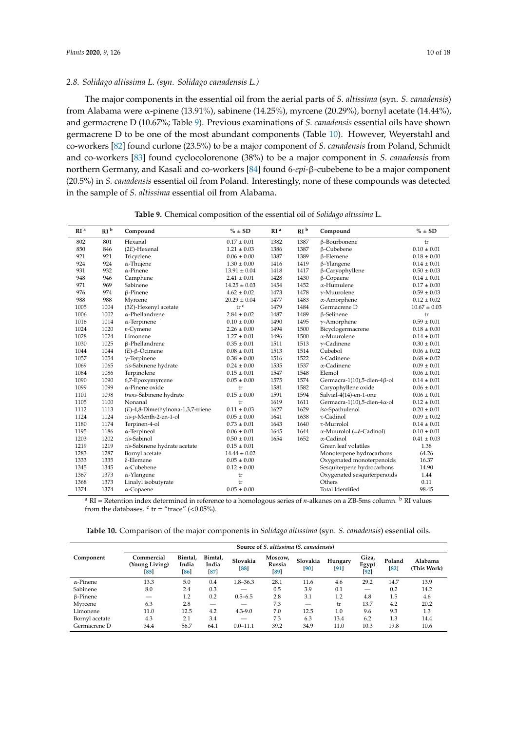## *2.8. Solidago altissima L. (syn. Solidago canadensis L.)*

The major components in the essential oil from the aerial parts of *S. altissima* (syn. *S. canadensis*) from Alabama were α-pinene (13.91%), sabinene (14.25%), myrcene (20.29%), bornyl acetate (14.44%), and germacrene D (10.67%; Table [9\)](#page-9-0). Previous examinations of *S. canadensis* essential oils have shown germacrene D to be one of the most abundant components (Table [10\)](#page-9-1). However, Weyerstahl and co-workers [\[82\]](#page-16-15) found curlone (23.5%) to be a major component of *S. canadensis* from Poland, Schmidt and co-workers [\[83\]](#page-16-16) found cyclocolorenone (38%) to be a major component in *S. canadensis* from northern Germany, and Kasali and co-workers [\[84\]](#page-16-17) found 6-*epi*-β-cubebene to be a major component (20.5%) in *S. canadensis* essential oil from Poland. Interestingly, none of these compounds was detected in the sample of *S. altissima* essential oil from Alabama.

<span id="page-9-0"></span>

| RI <sup>a</sup> | RI <sup>b</sup> | Compound                          | $% \pm SD$       | RI <sup>a</sup> | RI <sup>b</sup> | Compound                                 | $\% \pm SD$      |
|-----------------|-----------------|-----------------------------------|------------------|-----------------|-----------------|------------------------------------------|------------------|
| 802             | 801             | Hexanal                           | $0.17\pm0.01$    | 1382            | 1387            | β-Bourbonene                             | tr               |
| 850             | 846             | $(2E)$ -Hexenal                   | $1.21 \pm 0.03$  | 1386            | 1387            | <b>ß-Cubebene</b>                        | $0.10 \pm 0.01$  |
| 921             | 921             | Tricyclene                        | $0.06 \pm 0.00$  | 1387            | 1389            | $\beta$ -Elemene                         | $0.18 \pm 0.00$  |
| 924             | 924             | $\alpha$ -Thujene                 | $1.30 \pm 0.00$  | 1416            | 1419            | $\beta$ -Ylangene                        | $0.14 \pm 0.01$  |
| 931             | 932             | $\alpha$ -Pinene                  | $13.91 \pm 0.04$ | 1418            | 1417            | $\beta$ -Caryophyllene                   | $0.50 \pm 0.03$  |
| 948             | 946             | Camphene                          | $2.41 \pm 0.01$  | 1428            | 1430            | $\beta$ -Copaene                         | $0.14 \pm 0.01$  |
| 971             | 969             | Sabinene                          | $14.25 \pm 0.03$ | 1454            | 1452            | $\alpha$ -Humulene                       | $0.17 \pm 0.00$  |
| 976             | 974             | $\beta$ -Pinene                   | $4.62 \pm 0.02$  | 1473            | 1478            | $\gamma$ -Muurolene                      | $0.59 \pm 0.03$  |
| 988             | 988             | Myrcene                           | $20.29 \pm 0.04$ | 1477            | 1483            | $\alpha$ -Amorphene                      | $0.12 \pm 0.02$  |
| 1005            | 1004            | (3Z)-Hexenyl acetate              | tr <sup>c</sup>  | 1479            | 1484            | Germacrene D                             | $10.67 \pm 0.03$ |
| 1006            | 1002            | $\alpha$ -Phellandrene            | $2.84 \pm 0.02$  | 1487            | 1489            | <b>ß-Selinene</b>                        | tr               |
| 1016            | 1014            | $\alpha$ -Terpinene               | $0.10 \pm 0.00$  | 1490            | 1495            | $\gamma$ -Amorphene                      | $0.59 \pm 0.01$  |
| 1024            | 1020            | $p$ -Cymene                       | $2.26 \pm 0.00$  | 1494            | 1500            | Bicyclogermacrene                        | $0.18 \pm 0.00$  |
| 1028            | 1024            | Limonene                          | $1.27 \pm 0.01$  | 1496            | 1500            | $\alpha$ -Muurolene                      | $0.14 \pm 0.01$  |
| 1030            | 1025            | <b>ß-Phellandrene</b>             | $0.35 \pm 0.01$  | 1511            | 1513            | $\gamma$ -Cadinene                       | $0.30 \pm 0.01$  |
| 1044            | 1044            | $(E)$ - $\beta$ -Ocimene          | $0.08 \pm 0.01$  | 1513            | 1514            | Cubebol                                  | $0.06 \pm 0.02$  |
| 1057            | 1054            | $\gamma$ -Terpinene               | $0.38 \pm 0.00$  | 1516            | 1522            | $\delta$ -Cadinene                       | $0.68 \pm 0.02$  |
| 1069            | 1065            | cis-Sabinene hydrate              | $0.24 \pm 0.00$  | 1535            | 1537            | $\alpha$ -Cadinene                       | $0.09 \pm 0.01$  |
| 1084            | 1086            | Terpinolene                       | $0.15 \pm 0.01$  | 1547            | 1548            | Elemol                                   | $0.06 \pm 0.01$  |
| 1090            | 1090            | 6,7-Epoxymyrcene                  | $0.05 \pm 0.00$  | 1575            | 1574            | Germacra-1(10),5-dien-4β-ol              | $0.14 \pm 0.01$  |
| 1099            | 1099            | $\alpha$ -Pinene oxide            | tr               | 1581            | 1582            | Caryophyllene oxide                      | $0.06 \pm 0.01$  |
| 1101            | 1098            | trans-Sabinene hydrate            | $0.15 \pm 0.00$  | 1591            | 1594            | Salvial-4(14)-en-1-one                   | $0.06 \pm 0.01$  |
| 1105            | 1100            | Nonanal                           | tr               | 1619            | 1611            | Germacra-1(10),5-dien-4 $\alpha$ -ol     | $0.12 \pm 0.01$  |
| 1112            | 1113            | (E)-4,8-Dimethylnona-1,3,7-triene | $0.11 \pm 0.03$  | 1627            | 1629            | iso-Spathulenol                          | $0.20 \pm 0.01$  |
| 1124            | 1124            | cis-p-Menth-2-en-1-ol             | $0.05 \pm 0.00$  | 1641            | 1638            | $\tau$ -Cadinol                          | $0.09 \pm 0.02$  |
| 1180            | 1174            | Terpinen-4-ol                     | $0.73 \pm 0.01$  | 1643            | 1640            | $\tau$ -Murrolol                         | $0.14 \pm 0.01$  |
| 1195            | 1186            | $\alpha$ -Terpineol               | $0.06 \pm 0.01$  | 1645            | 1644            | $\alpha$ -Muurolol (= $\delta$ -Cadinol) | $0.10 \pm 0.01$  |
| 1203            | 1202            | cis-Sabinol                       | $0.50 \pm 0.01$  | 1654            | 1652            | $\alpha$ -Cadinol                        | $0.41 \pm 0.03$  |
| 1219            | 1219            | cis-Sabinene hydrate acetate      | $0.15 \pm 0.01$  |                 |                 | Green leaf volatiles                     | 1.38             |
| 1283            | 1287            | Bornyl acetate                    | $14.44 \pm 0.02$ |                 |                 | Monoterpene hydrocarbons                 | 64.26            |
| 1333            | 1335            | δ-Elemene                         | $0.05 \pm 0.00$  |                 |                 | Oxygenated monoterpenoids                | 16.37            |
| 1345            | 1345            | $\alpha$ -Cubebene                | $0.12 \pm 0.00$  |                 |                 | Sesquiterpene hydrocarbons               | 14.90            |
| 1367            | 1373            | $\alpha$ -Ylangene                | tr               |                 |                 | Oxygenated sesquiterpenoids              | 1.44             |
| 1368            | 1373            | Linalyl isobutyrate               | tr               |                 |                 | Others                                   | 0.11             |
| 1374            | 1374            | $\alpha$ -Copaene                 | $0.05 \pm 0.00$  |                 |                 | <b>Total Identified</b>                  | 98.45            |

**Table 9.** Chemical composition of the essential oil of *Solidago altissima* L.

 $a$  RI = Retention index determined in reference to a homologous series of *n*-alkanes on a ZB-5ms column.  $b$  RI values from the databases.  $\text{c tr} = \text{``trace'' } (<0.05\%)$ .

<span id="page-9-1"></span>

| <b>Table 10.</b> Comparison of the major components in <i>Solidago altissima</i> (syn. <i>S. canadensis</i> ) essential oils. |  |  |  |  |
|-------------------------------------------------------------------------------------------------------------------------------|--|--|--|--|
|-------------------------------------------------------------------------------------------------------------------------------|--|--|--|--|

|                  | Source of S. altissima (S. canadensis) |                        |                                 |                |                           |                  |                 |                       |              |                        |
|------------------|----------------------------------------|------------------------|---------------------------------|----------------|---------------------------|------------------|-----------------|-----------------------|--------------|------------------------|
| Component        | Commercial<br>(Young Living)<br>85     | Bimtal,<br>India<br>86 | Bimtal,<br>India<br>$\sqrt{87}$ | Slovakia<br>88 | Moscow,<br>Russia<br>[89] | Slovakia<br>[90] | Hungary<br>[91] | Giza,<br>Egypt<br> 92 | Poland<br>82 | Alabama<br>(This Work) |
| $\alpha$ -Pinene | 13.3                                   | 5.0                    | 0.4                             | $1.8 - 36.3$   | 28.1                      | 11.6             | 4.6             | 29.2                  | 14.7         | 13.9                   |
| Sabinene         | 8.0                                    | 2.4                    | 0.3                             |                | 0.5                       | 3.9              | 0.1             | —                     | 0.2          | 14.2                   |
| $\beta$ -Pinene  |                                        | 1.2                    | 0.2                             | $0.5 - 6.5$    | 2.8                       | 3.1              | 1.2             | 4.8                   | 1.5          | 4.6                    |
| Myrcene          | 6.3                                    | 2.8                    |                                 |                | 7.3                       |                  | tr              | 13.7                  | 4.2          | 20.2                   |
| Limonene         | 11.0                                   | 12.5                   | 4.2                             | $4.3 - 9.0$    | 7.0                       | 12.5             | 1.0             | 9.6                   | 9.3          | 1.3                    |
| Bornyl acetate   | 4.3                                    | 2.1                    | 3.4                             |                | 7.3                       | 6.3              | 13.4            | 6.2                   | 1.3          | 14.4                   |
| Germacrene D     | 34.4                                   | 56.7                   | 64.1                            | $0.0 - 11.1$   | 39.2                      | 34.9             | 11.0            | 10.3                  | 19.8         | 10.6                   |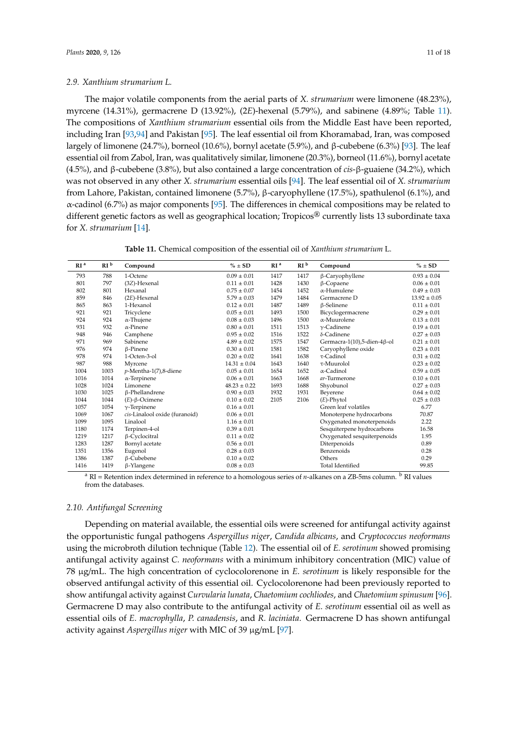### *2.9. Xanthium strumarium L.*

The major volatile components from the aerial parts of *X. strumarium* were limonene (48.23%), myrcene (14.31%), germacrene D (13.92%), (2*E*)-hexenal (5.79%), and sabinene (4.89%; Table [11\)](#page-10-0). The compositions of *Xanthium strumarium* essential oils from the Middle East have been reported, including Iran [\[93,](#page-17-5)[94\]](#page-17-6) and Pakistan [\[95\]](#page-17-7). The leaf essential oil from Khoramabad, Iran, was composed largely of limonene (24.7%), borneol (10.6%), bornyl acetate (5.9%), and β-cubebene (6.3%) [\[93\]](#page-17-5). The leaf essential oil from Zabol, Iran, was qualitatively similar, limonene (20.3%), borneol (11.6%), bornyl acetate (4.5%), and β-cubebene (3.8%), but also contained a large concentration of *cis*-β-guaiene (34.2%), which was not observed in any other *X. strumarium* essential oils [\[94\]](#page-17-6). The leaf essential oil of *X. strumarium* from Lahore, Pakistan, contained limonene (5.7%), β-caryophyllene (17.5%), spathulenol (6.1%), and α-cadinol (6.7%) as major components [\[95\]](#page-17-7). The differences in chemical compositions may be related to different genetic factors as well as geographical location; Tropicos® currently lists 13 subordinate taxa for *X. strumarium* [\[14\]](#page-13-13).

**Table 11.** Chemical composition of the essential oil of *Xanthium strumarium* L.

<span id="page-10-0"></span>

| RI <sup>b</sup><br>RI <sup>b</sup><br>RI <sup>a</sup><br>$% \pm SD$<br>RI <sup>a</sup><br>Compound<br>Compound | $\% \pm SD$      |
|----------------------------------------------------------------------------------------------------------------|------------------|
|                                                                                                                |                  |
| 788<br>1-Octene<br>1417<br>1417<br>793<br>$0.09 \pm 0.01$<br>β-Caryophyllene                                   | $0.93 \pm 0.04$  |
| 797<br>801<br>(3Z)-Hexenal<br>$0.11 \pm 0.01$<br>1428<br>1430<br>$\beta$ -Copaene                              | $0.06 \pm 0.01$  |
| 802<br>801<br>Hexanal<br>$0.75 \pm 0.07$<br>1454<br>1452<br>$\alpha$ -Humulene                                 | $0.49 \pm 0.03$  |
| 859<br>$(2E)$ -Hexenal<br>$5.79 \pm 0.03$<br>1479<br>1484<br>Germacrene D<br>846                               | $13.92 \pm 0.05$ |
| 1487<br>1489<br>865<br>863<br>1-Hexanol<br>$0.12 \pm 0.01$<br><b>ß-Selinene</b>                                | $0.11 \pm 0.01$  |
| 1500<br>Bicyclogermacrene<br>921<br>921<br>Tricyclene<br>$0.05 \pm 0.01$<br>1493                               | $0.29 \pm 0.01$  |
| 924<br>$0.08 \pm 0.03$<br>1496<br>1500<br>$\alpha$ -Muurolene<br>924<br>$\alpha$ -Thujene                      | $0.13 \pm 0.01$  |
| 931<br>932<br>$\alpha$ -Pinene<br>$0.80 \pm 0.01$<br>1511<br>1513<br>$\gamma$ -Cadinene                        | $0.19 \pm 0.01$  |
| 1522<br>$\delta$ -Cadinene<br>948<br>1516<br>946<br>Camphene<br>$0.95 \pm 0.02$                                | $0.27 \pm 0.03$  |
| Sabinene<br>971<br>969<br>$4.89 \pm 0.02$<br>1575<br>1547<br>Germacra-1(10),5-dien-4β-ol                       | $0.21 \pm 0.01$  |
| 976<br>974<br>1581<br>1582<br>$\beta$ -Pinene<br>$0.30 \pm 0.01$<br>Caryophyllene oxide                        | $0.23 \pm 0.01$  |
| $\tau$ -Cadinol<br>978<br>1638<br>974<br>$1-Octen-3-ol$<br>$0.20 \pm 0.02$<br>1641                             | $0.31 \pm 0.02$  |
| 987<br>1643<br>1640<br>τ-Muurolol<br>988<br>Myrcene<br>$14.31 \pm 0.04$                                        | $0.23 \pm 0.02$  |
| 1004<br>1003<br>$p$ -Mentha-1(7),8-diene<br>1654<br>1652<br>$\alpha$ -Cadinol<br>$0.05 \pm 0.01$               | $0.59 \pm 0.05$  |
| 1016<br>1014<br>$\alpha$ -Terpinene<br>$0.06 \pm 0.01$<br>1663<br>1668<br>ar-Turmerone                         | $0.10 \pm 0.01$  |
| 1688<br>1028<br>1024<br>Limonene<br>$48.23 \pm 0.22$<br>1693<br>Shyobunol                                      | $0.27 \pm 0.03$  |
| 1030<br>1931<br>1025<br>β-Phellandrene<br>$0.90 \pm 0.03$<br>1932<br>Beverene                                  | $0.64 \pm 0.02$  |
| 1044<br>1044<br>$(E)$ - $\beta$ -Ocimene<br>$0.10 \pm 0.02$<br>2105<br>2106<br>$(E)$ -Phytol                   | $0.25 \pm 0.03$  |
| Green leaf volatiles<br>1057<br>1054<br>$\gamma$ -Terpinene<br>$0.16 \pm 0.01$                                 | 6.77             |
| 1069<br>1067<br>cis-Linalool oxide (furanoid)<br>$0.06 \pm 0.01$<br>Monoterpene hydrocarbons                   | 70.87            |
| Oxygenated monoterpenoids<br>1099<br>Linalool<br>1095<br>$1.16 \pm 0.01$                                       | 2.22             |
| Sesquiterpene hydrocarbons<br>1180<br>1174<br>Terpinen-4-ol<br>$0.39 \pm 0.01$                                 | 16.58            |
| 1219<br>1217<br>$\beta$ -Cyclocitral<br>Oxygenated sesquiterpenoids<br>$0.11 \pm 0.02$                         | 1.95             |
| 1283<br>1287<br>Bornyl acetate<br>Diterpenoids<br>$0.56 \pm 0.01$                                              | 0.89             |
| Benzenoids<br>1351<br>1356<br>Eugenol<br>$0.28 \pm 0.03$                                                       | 0.28             |
| 1386<br>1387<br>β-Cubebene<br>Others<br>$0.10 \pm 0.02$                                                        | 0.29             |
| <b>Total Identified</b><br>1416<br>1419<br>$\beta$ -Ylangene<br>$0.08 \pm 0.03$                                | 99.85            |

<sup>a</sup> RI = Retention index determined in reference to a homologous series of *n*-alkanes on a ZB-5ms column. <sup>b</sup> RI values from the databases.

# *2.10. Antifungal Screening*

Depending on material available, the essential oils were screened for antifungal activity against the opportunistic fungal pathogens *Aspergillus niger*, *Candida albicans*, and *Cryptococcus neoformans* using the microbroth dilution technique (Table [12\)](#page-11-0). The essential oil of *E. serotinum* showed promising antifungal activity against *C. neoformans* with a minimum inhibitory concentration (MIC) value of 78 µg/mL. The high concentration of cyclocolorenone in *E. serotinum* is likely responsible for the observed antifungal activity of this essential oil. Cyclocolorenone had been previously reported to show antifungal activity against *Curvularia lunata*, *Chaetomium cochliodes*, and *Chaetomium spinusum* [\[96\]](#page-17-8). Germacrene D may also contribute to the antifungal activity of *E. serotinum* essential oil as well as essential oils of *E. macrophylla*, *P. canadensis*, and *R. laciniata*. Germacrene D has shown antifungal activity against *Aspergillus niger* with MIC of 39 µg/mL [\[97\]](#page-17-9).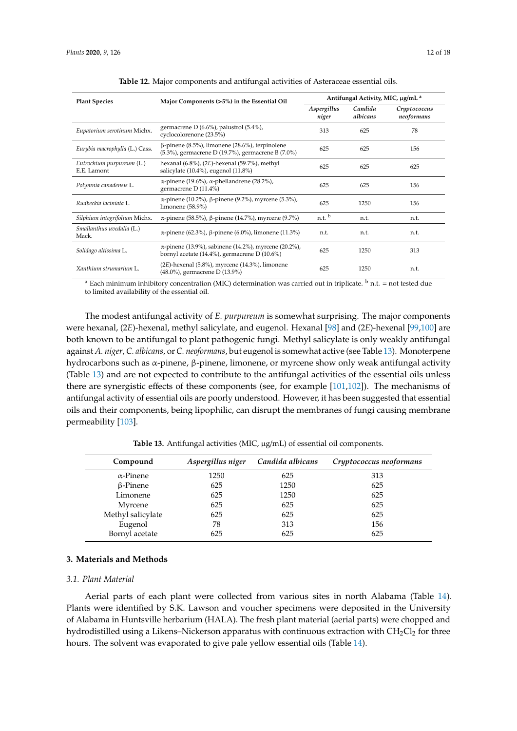<span id="page-11-0"></span>

| <b>Plant Species</b>                     | Major Components (>5%) in the Essential Oil                                                                 | Antifungal Activity, MIC, µg/mL <sup>a</sup> |                     |                            |  |
|------------------------------------------|-------------------------------------------------------------------------------------------------------------|----------------------------------------------|---------------------|----------------------------|--|
|                                          |                                                                                                             | Aspergillus<br>niger                         | Candida<br>albicans | Cryptococcus<br>neoformans |  |
| Eupatorium serotinum Michx.              | germacrene D $(6.6\%)$ , palustrol $(5.4\%)$ ,<br>cyclocolorenone (23.5%)                                   | 313                                          | 625                 | 78                         |  |
| Eurybia macrophylla (L.) Cass.           | $\beta$ -pinene (8.5%), limonene (28.6%), terpinolene<br>(5.3%), germacrene D (19.7%), germacrene B (7.0%)  | 625                                          | 625                 | 156                        |  |
| Eutrochium purpureum (L.)<br>E.E. Lamont | hexanal $(6.8\%)$ , $(2E)$ -hexenal $(59.7\%)$ , methyl<br>salicylate $(10.4\%)$ , eugenol $(11.8\%)$       | 625                                          | 625                 | 625                        |  |
| Polymnia canadensis L.                   | $\alpha$ -pinene (19.6%), $\alpha$ -phellandrene (28.2%),<br>germacrene D (11.4%)                           | 625                                          | 625                 | 156                        |  |
| Rudbeckia laciniata L.                   | α-pinene (10.2%), β-pinene (9.2%), myrcene (5.3%),<br>limonene $(58.9\%)$                                   | 625                                          | 1250                | 156                        |  |
| Silphium integrifolium Michx.            | α-pinene (58.5%), β-pinene (14.7%), myrcene (9.7%)                                                          | n.t.                                         | n.t.                | n.t.                       |  |
| Smallanthus uvedalia (L.)<br>Mack.       | α-pinene (62.3%), β-pinene (6.0%), limonene (11.3%)                                                         | n.t.                                         | n.t.                | n.t.                       |  |
| Solidago altissima L.                    | α-pinene (13.9%), sabinene (14.2%), myrcene (20.2%),<br>bornyl acetate $(14.4\%)$ , germacrene D $(10.6\%)$ | 625                                          | 1250                | 313                        |  |
| Xanthium strumarium L.                   | $(2E)$ -hexenal $(5.8\%)$ , myrcene $(14.3\%)$ , limonene<br>(48.0%), germacrene D (13.9%)                  | 625                                          | 1250                | n.t.                       |  |

<sup>a</sup> Each minimum inhibitory concentration (MIC) determination was carried out in triplicate.  $\frac{b}{c}$  n.t. = not tested due to limited availability of the essential oil.

The modest antifungal activity of *E. purpureum* is somewhat surprising. The major components were hexanal, (2*E*)-hexenal, methyl salicylate, and eugenol. Hexanal [\[98\]](#page-17-10) and (2*E*)-hexenal [\[99](#page-17-11)[,100\]](#page-17-12) are both known to be antifungal to plant pathogenic fungi. Methyl salicylate is only weakly antifungal against *A. niger*, *C. albicans*, or *C. neoformans*, but eugenol is somewhat active (see Table [13\)](#page-11-1). Monoterpene hydrocarbons such as α-pinene, β-pinene, limonene, or myrcene show only weak antifungal activity (Table [13\)](#page-11-1) and are not expected to contribute to the antifungal activities of the essential oils unless there are synergistic effects of these components (see, for example [\[101,](#page-17-13)[102\]](#page-17-14)). The mechanisms of antifungal activity of essential oils are poorly understood. However, it has been suggested that essential oils and their components, being lipophilic, can disrupt the membranes of fungi causing membrane permeability [\[103\]](#page-17-15).

<span id="page-11-1"></span>

| Compound          | Aspergillus niger | Candida albicans | Cryptococcus neoformans |
|-------------------|-------------------|------------------|-------------------------|
| $\alpha$ -Pinene  | 1250              | 625              | 313                     |
| $\beta$ -Pinene   | 625               | 1250             | 625                     |
| Limonene          | 625               | 1250             | 625                     |
| Myrcene           | 625               | 625              | 625                     |
| Methyl salicylate | 625               | 625              | 625                     |
| Eugenol           | 78                | 313              | 156                     |
| Bornyl acetate    | 625               | 625              | 625                     |

Table 13. Antifungal activities (MIC,  $\mu$ g/mL) of essential oil components.

# **3. Materials and Methods**

#### *3.1. Plant Material*

Aerial parts of each plant were collected from various sites in north Alabama (Table [14\)](#page-12-0). Plants were identified by S.K. Lawson and voucher specimens were deposited in the University of Alabama in Huntsville herbarium (HALA). The fresh plant material (aerial parts) were chopped and hydrodistilled using a Likens–Nickerson apparatus with continuous extraction with  $CH_2Cl_2$  for three hours. The solvent was evaporated to give pale yellow essential oils (Table [14\)](#page-12-0).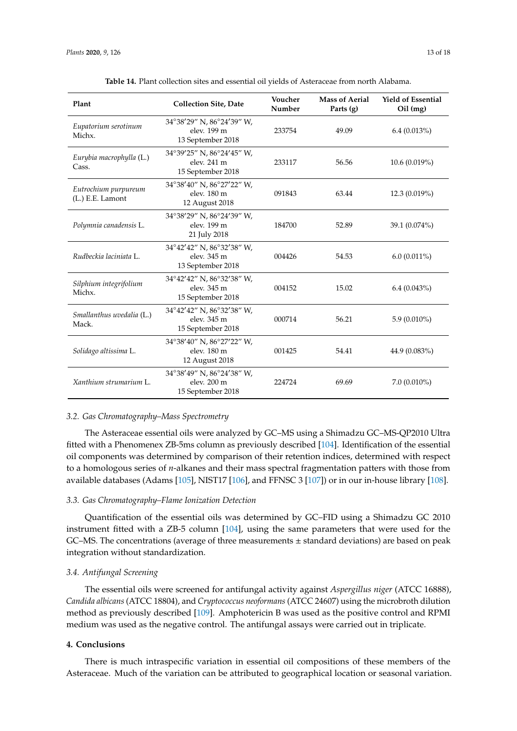<span id="page-12-0"></span>

| Plant                                    | <b>Collection Site, Date</b>                                  | Voucher<br>Number | <b>Mass of Aerial</b><br>Parts $(g)$ | <b>Yield of Essential</b><br>$Oil$ (mg) |  |
|------------------------------------------|---------------------------------------------------------------|-------------------|--------------------------------------|-----------------------------------------|--|
| Eupatorium serotinum<br>Michx.           | 34°38'29" N, 86°24'39" W,<br>elev. 199 m<br>13 September 2018 | 233754            | 49.09                                | 6.4(0.013%)                             |  |
| Eurybia macrophylla (L.)<br>Cass.        | 34°39'25" N, 86°24'45" W,<br>elev. 241 m<br>15 September 2018 | 233117            | 56.56                                | 10.6(0.019%)                            |  |
| Eutrochium purpureum<br>(L.) E.E. Lamont | 34°38'40" N, 86°27'22" W,<br>elev. 180 m<br>12 August 2018    | 091843            | 63.44                                | 12.3(0.019%)                            |  |
| Polymnia canadensis L.                   | 34°38'29" N, 86°24'39" W,<br>elev. 199 m<br>21 July 2018      | 184700            | 52.89                                | 39.1 (0.074%)                           |  |
| Rudbeckia laciniata L.                   | 34°42'42" N, 86°32'38" W,<br>elev. 345 m<br>13 September 2018 | 004426            | 54.53                                | $6.0(0.011\%)$                          |  |
| Silphium integrifolium<br>Michx.         | 34°42'42" N, 86°32'38" W,<br>elev. 345 m<br>15 September 2018 | 004152            | 15.02                                | $6.4(0.043\%)$                          |  |
| Smallanthus uvedalia (L.)<br>Mack.       | 34°42'42" N, 86°32'38" W,<br>elev. 345 m<br>15 September 2018 | 000714            | 56.21                                | $5.9(0.010\%)$                          |  |
| Solidago altissima L.                    | 34°38'40" N, 86°27'22" W,<br>elev. 180 m<br>12 August 2018    | 001425            | 54.41                                | 44.9 (0.083%)                           |  |
| Xanthium strumarium L.                   | 34°38'49" N, 86°24'38" W,<br>elev. 200 m<br>15 September 2018 | 224724            | 69.69                                | $7.0(0.010\%)$                          |  |

## *3.2. Gas Chromatography–Mass Spectrometry*

The Asteraceae essential oils were analyzed by GC–MS using a Shimadzu GC–MS-QP2010 Ultra fitted with a Phenomenex ZB-5ms column as previously described [\[104\]](#page-17-16). Identification of the essential oil components was determined by comparison of their retention indices, determined with respect to a homologous series of *n*-alkanes and their mass spectral fragmentation patters with those from available databases (Adams [\[105\]](#page-17-17), NIST17 [\[106\]](#page-17-18), and FFNSC 3 [\[107\]](#page-17-19)) or in our in-house library [\[108\]](#page-17-20).

## *3.3. Gas Chromatography–Flame Ionization Detection*

Quantification of the essential oils was determined by GC–FID using a Shimadzu GC 2010 instrument fitted with a ZB-5 column [\[104\]](#page-17-16), using the same parameters that were used for the  $GC$ –MS. The concentrations (average of three measurements  $\pm$  standard deviations) are based on peak integration without standardization.

# *3.4. Antifungal Screening*

The essential oils were screened for antifungal activity against *Aspergillus niger* (ATCC 16888), *Candida albicans* (ATCC 18804), and *Cryptococcus neoformans* (ATCC 24607) using the microbroth dilution method as previously described [\[109\]](#page-17-21). Amphotericin B was used as the positive control and RPMI medium was used as the negative control. The antifungal assays were carried out in triplicate.

## **4. Conclusions**

There is much intraspecific variation in essential oil compositions of these members of the Asteraceae. Much of the variation can be attributed to geographical location or seasonal variation.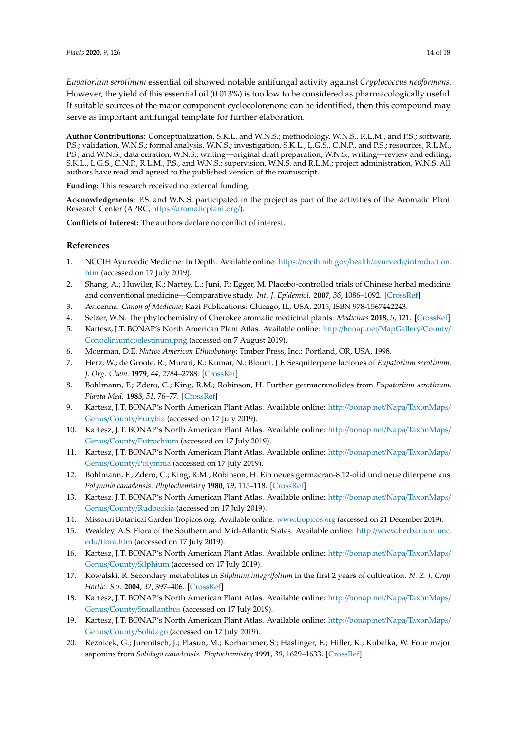*Eupatorium serotinum* essential oil showed notable antifungal activity against *Cryptococcus neoformans*. However, the yield of this essential oil (0.013%) is too low to be considered as pharmacologically useful. If suitable sources of the major component cyclocolorenone can be identified, then this compound may serve as important antifungal template for further elaboration.

**Author Contributions:** Conceptualization, S.K.L. and W.N.S.; methodology, W.N.S., R.L.M., and P.S.; software, P.S.; validation, W.N.S.; formal analysis, W.N.S.; investigation, S.K.L., L.G.S., C.N.P., and P.S.; resources, R.L.M., P.S., and W.N.S.; data curation, W.N.S.; writing—original draft preparation, W.N.S.; writing—review and editing, S.K.L., L.G.S., C.N.P., R.L.M., P.S., and W.N.S.; supervision, W.N.S. and R.L.M.; project administration, W.N.S. All authors have read and agreed to the published version of the manuscript.

**Funding:** This research received no external funding.

**Acknowledgments:** P.S. and W.N.S. participated in the project as part of the activities of the Aromatic Plant Research Center (APRC, https://[aromaticplant.org](https://aromaticplant.org/)/).

**Conflicts of Interest:** The authors declare no conflict of interest.

# **References**

- <span id="page-13-0"></span>1. NCCIH Ayurvedic Medicine: In Depth. Available online: https://[nccih.nih.gov](https://nccih.nih.gov/health/ayurveda/introduction.htm)/health/ayurveda/introduction. [htm](https://nccih.nih.gov/health/ayurveda/introduction.htm) (accessed on 17 July 2019).
- <span id="page-13-1"></span>2. Shang, A.; Huwiler, K.; Nartey, L.; Jüni, P.; Egger, M. Placebo-controlled trials of Chinese herbal medicine and conventional medicine—Comparative study. *Int. J. Epidemiol.* **2007**, *36*, 1086–1092. [\[CrossRef\]](http://dx.doi.org/10.1093/ije/dym119)
- <span id="page-13-2"></span>3. Avicenna. *Canon of Medicine*; Kazi Publications: Chicago, IL, USA, 2015; ISBN 978-1567442243.
- <span id="page-13-3"></span>4. Setzer, W.N. The phytochemistry of Cherokee aromatic medicinal plants. *Medicines* **2018**, *5*, 121. [\[CrossRef\]](http://dx.doi.org/10.3390/medicines5040121)
- <span id="page-13-4"></span>5. Kartesz, J.T. BONAP's North American Plant Atlas. Available online: http://bonap.net/[MapGallery](http://bonap.net/MapGallery/County/Conoclinium coelestinum.png)/County/ [Conocliniumcoelestinum.png](http://bonap.net/MapGallery/County/Conoclinium coelestinum.png) (accessed on 7 August 2019).
- <span id="page-13-5"></span>6. Moerman, D.E. *Native American Ethnobotany*; Timber Press, Inc.: Portland, OR, USA, 1998.
- <span id="page-13-6"></span>7. Herz, W.; de Groote, R.; Murari, R.; Kumar, N.; Blount, J.F. Sesquiterpene lactones of *Eupatorium serotinum*. *J. Org. Chem.* **1979**, *44*, 2784–2788. [\[CrossRef\]](http://dx.doi.org/10.1021/jo01329a039)
- <span id="page-13-7"></span>8. Bohlmann, F.; Zdero, C.; King, R.M.; Robinson, H. Further germacranolides from *Eupatorium serotinum*. *Planta Med.* **1985**, *51*, 76–77. [\[CrossRef\]](http://dx.doi.org/10.1055/s-2007-969404)
- <span id="page-13-8"></span>9. Kartesz, J.T. BONAP's North American Plant Atlas. Available online: http://bonap.net/Napa/[TaxonMaps](http://bonap.net/Napa/TaxonMaps/Genus/County/Eurybia)/ Genus/County/[Eurybia](http://bonap.net/Napa/TaxonMaps/Genus/County/Eurybia) (accessed on 17 July 2019).
- <span id="page-13-9"></span>10. Kartesz, J.T. BONAP's North American Plant Atlas. Available online: http://bonap.net/Napa/[TaxonMaps](http://bonap.net/Napa/TaxonMaps/Genus/County/Eutrochium)/ Genus/County/[Eutrochium](http://bonap.net/Napa/TaxonMaps/Genus/County/Eutrochium) (accessed on 17 July 2019).
- <span id="page-13-10"></span>11. Kartesz, J.T. BONAP's North American Plant Atlas. Available online: http://bonap.net/Napa/[TaxonMaps](http://bonap.net/Napa/TaxonMaps/Genus/County/Polymnia)/ Genus/County/[Polymnia](http://bonap.net/Napa/TaxonMaps/Genus/County/Polymnia) (accessed on 17 July 2019).
- <span id="page-13-11"></span>12. Bohlmann, F.; Zdero, C.; King, R.M.; Robinson, H. Ein neues germacran-8.12-olid und neue diterpene aus *Polymnia canadensis*. *Phytochemistry* **1980**, *19*, 115–118. [\[CrossRef\]](http://dx.doi.org/10.1016/0031-9422(80)85025-4)
- <span id="page-13-12"></span>13. Kartesz, J.T. BONAP's North American Plant Atlas. Available online: http://bonap.net/Napa/[TaxonMaps](http://bonap.net/Napa/TaxonMaps/Genus/County/Rudbeckia)/ Genus/County/[Rudbeckia](http://bonap.net/Napa/TaxonMaps/Genus/County/Rudbeckia) (accessed on 17 July 2019).
- <span id="page-13-13"></span>14. Missouri Botanical Garden Tropicos.org. Available online: <www.tropicos.org> (accessed on 21 December 2019).
- <span id="page-13-14"></span>15. Weakley, A.S. Flora of the Southern and Mid-Atlantic States. Available online: http://[www.herbarium.unc.](http://www.herbarium.unc.edu/flora.htm) edu/[flora.htm](http://www.herbarium.unc.edu/flora.htm) (accessed on 17 July 2019).
- <span id="page-13-15"></span>16. Kartesz, J.T. BONAP's North American Plant Atlas. Available online: http://bonap.net/Napa/[TaxonMaps](http://bonap.net/Napa/TaxonMaps/Genus/County/Silphium)/ Genus/County/[Silphium](http://bonap.net/Napa/TaxonMaps/Genus/County/Silphium) (accessed on 17 July 2019).
- <span id="page-13-16"></span>17. Kowalski, R. Secondary metabolites in *Silphium integrifolium* in the first 2 years of cultivation. *N. Z. J. Crop Hortic. Sci.* **2004**, *32*, 397–406. [\[CrossRef\]](http://dx.doi.org/10.1080/01140671.2004.9514321)
- <span id="page-13-17"></span>18. Kartesz, J.T. BONAP's North American Plant Atlas. Available online: http://bonap.net/Napa/[TaxonMaps](http://bonap.net/Napa/TaxonMaps/Genus/County/Smallanthus)/ Genus/County/[Smallanthus](http://bonap.net/Napa/TaxonMaps/Genus/County/Smallanthus) (accessed on 17 July 2019).
- <span id="page-13-18"></span>19. Kartesz, J.T. BONAP's North American Plant Atlas. Available online: http://bonap.net/Napa/[TaxonMaps](http://bonap.net/Napa/TaxonMaps/Genus/County/Solidago)/ Genus/County/[Solidago](http://bonap.net/Napa/TaxonMaps/Genus/County/Solidago) (accessed on 17 July 2019).
- <span id="page-13-19"></span>20. Reznicek, G.; Jurenitsch, J.; Plasun, M.; Korhammer, S.; Haslinger, E.; Hiller, K.; Kubelka, W. Four major saponins from *Solidago canadensis*. *Phytochemistry* **1991**, *30*, 1629–1633. [\[CrossRef\]](http://dx.doi.org/10.1016/0031-9422(91)84222-E)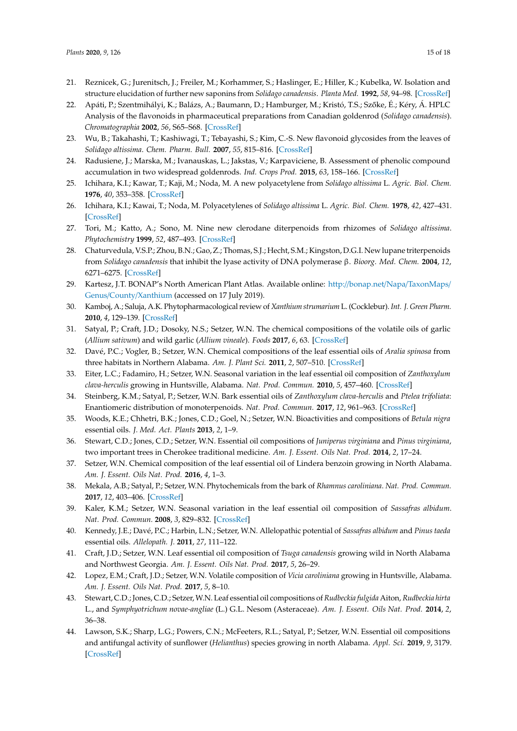- <span id="page-14-0"></span>21. Reznicek, G.; Jurenitsch, J.; Freiler, M.; Korhammer, S.; Haslinger, E.; Hiller, K.; Kubelka, W. Isolation and structure elucidation of further new saponins from *Solidago canadensis*. *Planta Med.* **1992**, *58*, 94–98. [\[CrossRef\]](http://dx.doi.org/10.1055/s-2006-961398)
- <span id="page-14-1"></span>22. Apáti, P.; Szentmihályi, K.; Balázs, A.; Baumann, D.; Hamburger, M.; Kristó, T.S.; Szőke, É.; Kéry, Á. HPLC Analysis of the flavonoids in pharmaceutical preparations from Canadian goldenrod (*Solidago canadensis*). *Chromatographia* **2002**, *56*, S65–S68. [\[CrossRef\]](http://dx.doi.org/10.1007/BF02494115)
- 23. Wu, B.; Takahashi, T.; Kashiwagi, T.; Tebayashi, S.; Kim, C.-S. New flavonoid glycosides from the leaves of *Solidago altissima*. *Chem. Pharm. Bull.* **2007**, *55*, 815–816. [\[CrossRef\]](http://dx.doi.org/10.1248/cpb.55.815)
- <span id="page-14-2"></span>24. Radusiene, J.; Marska, M.; Ivanauskas, L.; Jakstas, V.; Karpaviciene, B. Assessment of phenolic compound accumulation in two widespread goldenrods. *Ind. Crops Prod.* **2015**, *63*, 158–166. [\[CrossRef\]](http://dx.doi.org/10.1016/j.indcrop.2014.10.015)
- <span id="page-14-3"></span>25. Ichihara, K.I.; Kawar, T.; Kaji, M.; Noda, M. A new polyacetylene from *Solidago altissima* L. *Agric. Biol. Chem.* **1976**, *40*, 353–358. [\[CrossRef\]](http://dx.doi.org/10.1080/00021369.1976.10862050)
- <span id="page-14-4"></span>26. Ichihara, K.I.; Kawai, T.; Noda, M. Polyacetylenes of *Solidago altissima* L. *Agric. Biol. Chem.* **1978**, *42*, 427–431. [\[CrossRef\]](http://dx.doi.org/10.1271/bbb1961.42.427)
- <span id="page-14-5"></span>27. Tori, M.; Katto, A.; Sono, M. Nine new clerodane diterpenoids from rhizomes of *Solidago altissima*. *Phytochemistry* **1999**, *52*, 487–493. [\[CrossRef\]](http://dx.doi.org/10.1016/S0031-9422(99)00273-3)
- <span id="page-14-6"></span>28. Chaturvedula, V.S.P.; Zhou, B.N.; Gao, Z.; Thomas, S.J.; Hecht, S.M.; Kingston, D.G.I. New lupane triterpenoids from *Solidago canadensis* that inhibit the lyase activity of DNA polymerase β. *Bioorg. Med. Chem.* **2004**, *12*, 6271–6275. [\[CrossRef\]](http://dx.doi.org/10.1016/j.bmc.2004.08.048)
- <span id="page-14-7"></span>29. Kartesz, J.T. BONAP's North American Plant Atlas. Available online: http://bonap.net/Napa/[TaxonMaps](http://bonap.net/Napa/TaxonMaps/Genus/County/Xanthium)/ Genus/County/[Xanthium](http://bonap.net/Napa/TaxonMaps/Genus/County/Xanthium) (accessed on 17 July 2019).
- <span id="page-14-8"></span>30. Kamboj, A.; Saluja, A.K. Phytopharmacological review of *Xanthium strumarium* L. (Cocklebur). *Int. J. Green Pharm.* **2010**, *4*, 129–139. [\[CrossRef\]](http://dx.doi.org/10.4103/0973-8258.69154)
- <span id="page-14-9"></span>31. Satyal, P.; Craft, J.D.; Dosoky, N.S.; Setzer, W.N. The chemical compositions of the volatile oils of garlic (*Allium sativum*) and wild garlic (*Allium vineale*). *Foods* **2017**, *6*, 63. [\[CrossRef\]](http://dx.doi.org/10.3390/foods6080063)
- 32. Davé, P.C.; Vogler, B.; Setzer, W.N. Chemical compositions of the leaf essential oils of *Aralia spinosa* from three habitats in Northern Alabama. *Am. J. Plant Sci.* **2011**, *2*, 507–510. [\[CrossRef\]](http://dx.doi.org/10.4236/ajps.2011.23059)
- 33. Eiter, L.C.; Fadamiro, H.; Setzer, W.N. Seasonal variation in the leaf essential oil composition of *Zanthoxylum clava-herculis* growing in Huntsville, Alabama. *Nat. Prod. Commun.* **2010**, *5*, 457–460. [\[CrossRef\]](http://dx.doi.org/10.1177/1934578X1000500323)
- 34. Steinberg, K.M.; Satyal, P.; Setzer, W.N. Bark essential oils of *Zanthoxylum clava-herculis* and *Ptelea trifoliata*: Enantiomeric distribution of monoterpenoids. *Nat. Prod. Commun.* **2017**, *12*, 961–963. [\[CrossRef\]](http://dx.doi.org/10.1177/1934578X1701200632)
- 35. Woods, K.E.; Chhetri, B.K.; Jones, C.D.; Goel, N.; Setzer, W.N. Bioactivities and compositions of *Betula nigra* essential oils. *J. Med. Act. Plants* **2013**, *2*, 1–9.
- 36. Stewart, C.D.; Jones, C.D.; Setzer, W.N. Essential oil compositions of *Juniperus virginiana* and *Pinus virginiana*, two important trees in Cherokee traditional medicine. *Am. J. Essent. Oils Nat. Prod.* **2014**, *2*, 17–24.
- 37. Setzer, W.N. Chemical composition of the leaf essential oil of Lindera benzoin growing in North Alabama. *Am. J. Essent. Oils Nat. Prod.* **2016**, *4*, 1–3.
- 38. Mekala, A.B.; Satyal, P.; Setzer, W.N. Phytochemicals from the bark of *Rhamnus caroliniana*. *Nat. Prod. Commun.* **2017**, *12*, 403–406. [\[CrossRef\]](http://dx.doi.org/10.1177/1934578X1701200324)
- 39. Kaler, K.M.; Setzer, W.N. Seasonal variation in the leaf essential oil composition of *Sassafras albidum*. *Nat. Prod. Commun.* **2008**, *3*, 829–832. [\[CrossRef\]](http://dx.doi.org/10.1177/1934578X0800300529)
- 40. Kennedy, J.E.; Davé, P.C.; Harbin, L.N.; Setzer, W.N. Allelopathic potential of *Sassafras albidum* and *Pinus taeda* essential oils. *Allelopath. J.* **2011**, *27*, 111–122.
- 41. Craft, J.D.; Setzer, W.N. Leaf essential oil composition of *Tsuga canadensis* growing wild in North Alabama and Northwest Georgia. *Am. J. Essent. Oils Nat. Prod.* **2017**, *5*, 26–29.
- <span id="page-14-10"></span>42. Lopez, E.M.; Craft, J.D.; Setzer, W.N. Volatile composition of *Vicia caroliniana* growing in Huntsville, Alabama. *Am. J. Essent. Oils Nat. Prod.* **2017**, *5*, 8–10.
- <span id="page-14-11"></span>43. Stewart, C.D.; Jones, C.D.; Setzer,W.N. Leaf essential oil compositions of*Rudbeckia fulgida* Aiton, *Rudbeckia hirta* L., and *Symphyotrichum novae-angliae* (L.) G.L. Nesom (Asteraceae). *Am. J. Essent. Oils Nat. Prod.* **2014**, *2*, 36–38.
- 44. Lawson, S.K.; Sharp, L.G.; Powers, C.N.; McFeeters, R.L.; Satyal, P.; Setzer, W.N. Essential oil compositions and antifungal activity of sunflower (*Helianthus*) species growing in north Alabama. *Appl. Sci.* **2019**, *9*, 3179. [\[CrossRef\]](http://dx.doi.org/10.3390/app9153179)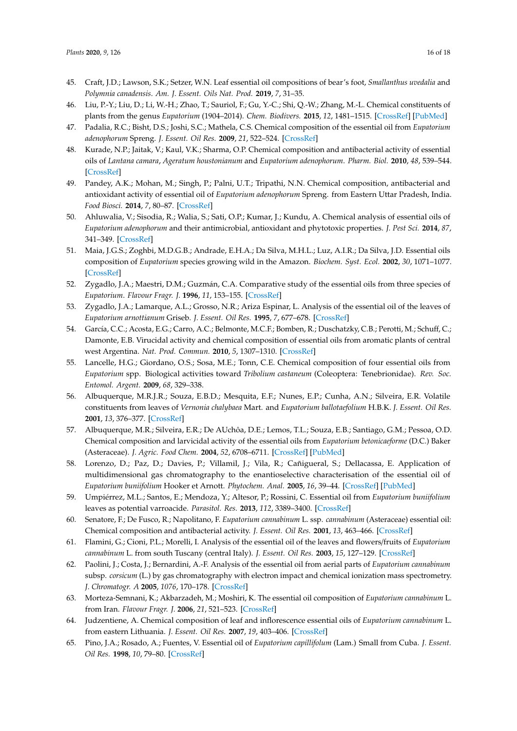- <span id="page-15-8"></span><span id="page-15-7"></span><span id="page-15-6"></span><span id="page-15-5"></span><span id="page-15-4"></span><span id="page-15-3"></span><span id="page-15-2"></span><span id="page-15-0"></span>45. Craft, J.D.; Lawson, S.K.; Setzer, W.N. Leaf essential oil compositions of bear's foot, *Smallanthus uvedalia* and *Polymnia canadensis*. *Am. J. Essent. Oils Nat. Prod.* **2019**, *7*, 31–35.
- <span id="page-15-9"></span><span id="page-15-1"></span>46. Liu, P.-Y.; Liu, D.; Li, W.-H.; Zhao, T.; Sauriol, F.; Gu, Y.-C.; Shi, Q.-W.; Zhang, M.-L. Chemical constituents of plants from the genus *Eupatorium* (1904–2014). *Chem. Biodivers.* **2015**, *12*, 1481–1515. [\[CrossRef\]](http://dx.doi.org/10.1002/cbdv.201400227) [\[PubMed\]](http://www.ncbi.nlm.nih.gov/pubmed/26460556)
- 47. Padalia, R.C.; Bisht, D.S.; Joshi, S.C.; Mathela, C.S. Chemical composition of the essential oil from *Eupatorium adenophorum* Spreng. *J. Essent. Oil Res.* **2009**, *21*, 522–524. [\[CrossRef\]](http://dx.doi.org/10.1080/10412905.2009.9700234)
- <span id="page-15-10"></span>48. Kurade, N.P.; Jaitak, V.; Kaul, V.K.; Sharma, O.P. Chemical composition and antibacterial activity of essential oils of *Lantana camara*, *Ageratum houstonianum* and *Eupatorium adenophorum*. *Pharm. Biol.* **2010**, *48*, 539–544. [\[CrossRef\]](http://dx.doi.org/10.3109/13880200903193336)
- <span id="page-15-11"></span>49. Pandey, A.K.; Mohan, M.; Singh, P.; Palni, U.T.; Tripathi, N.N. Chemical composition, antibacterial and antioxidant activity of essential oil of *Eupatorium adenophorum* Spreng. from Eastern Uttar Pradesh, India. *Food Biosci.* **2014**, *7*, 80–87. [\[CrossRef\]](http://dx.doi.org/10.1016/j.fbio.2014.06.001)
- <span id="page-15-12"></span>50. Ahluwalia, V.; Sisodia, R.; Walia, S.; Sati, O.P.; Kumar, J.; Kundu, A. Chemical analysis of essential oils of *Eupatorium adenophorum* and their antimicrobial, antioxidant and phytotoxic properties. *J. Pest Sci.* **2014**, *87*, 341–349. [\[CrossRef\]](http://dx.doi.org/10.1007/s10340-013-0542-6)
- <span id="page-15-13"></span>51. Maia, J.G.S.; Zoghbi, M.D.G.B.; Andrade, E.H.A.; Da Silva, M.H.L.; Luz, A.I.R.; Da Silva, J.D. Essential oils composition of *Eupatorium* species growing wild in the Amazon. *Biochem. Syst. Ecol.* **2002**, *30*, 1071–1077. [\[CrossRef\]](http://dx.doi.org/10.1016/S0305-1978(02)00059-5)
- <span id="page-15-14"></span>52. Zygadlo, J.A.; Maestri, D.M.; Guzmán, C.A. Comparative study of the essential oils from three species of *Eupatorium*. *Flavour Fragr. J.* **1996**, *11*, 153–155. [\[CrossRef\]](http://dx.doi.org/10.1002/(SICI)1099-1026(199605)11:3<153::AID-FFJ558>3.0.CO;2-L)
- <span id="page-15-15"></span>53. Zygadlo, J.A.; Lamarque, A.L.; Grosso, N.R.; Ariza Espinar, L. Analysis of the essential oil of the leaves of *Eupatorium arnottianum* Griseb. *J. Essent. Oil Res.* **1995**, *7*, 677–678. [\[CrossRef\]](http://dx.doi.org/10.1080/10412905.1995.9700528)
- <span id="page-15-17"></span><span id="page-15-16"></span>54. García, C.C.; Acosta, E.G.; Carro, A.C.; Belmonte, M.C.F.; Bomben, R.; Duschatzky, C.B.; Perotti, M.; Schuff, C.; Damonte, E.B. Virucidal activity and chemical composition of essential oils from aromatic plants of central west Argentina. *Nat. Prod. Commun.* **2010**, *5*, 1307–1310. [\[CrossRef\]](http://dx.doi.org/10.1177/1934578X1000500834)
- <span id="page-15-18"></span>55. Lancelle, H.G.; Giordano, O.S.; Sosa, M.E.; Tonn, C.E. Chemical composition of four essential oils from *Eupatorium* spp. Biological activities toward *Tribolium castaneum* (Coleoptera: Tenebrionidae). *Rev. Soc. Entomol. Argent.* **2009**, *68*, 329–338.
- <span id="page-15-19"></span>56. Albuquerque, M.R.J.R.; Souza, E.B.D.; Mesquita, E.F.; Nunes, E.P.; Cunha, A.N.; Silveira, E.R. Volatile constituents from leaves of *Vernonia chalybaea* Mart. and *Eupatorium ballotaefolium* H.B.K. *J. Essent. Oil Res.* **2001**, *13*, 376–377. [\[CrossRef\]](http://dx.doi.org/10.1080/10412905.2001.9712238)
- <span id="page-15-20"></span>57. Albuquerque, M.R.; Silveira, E.R.; De AUchôa, D.E.; Lemos, T.L.; Souza, E.B.; Santiago, G.M.; Pessoa, O.D. Chemical composition and larvicidal activity of the essential oils from *Eupatorium betonicaeforme* (D.C.) Baker (Asteraceae). *J. Agric. Food Chem.* **2004**, *52*, 6708–6711. [\[CrossRef\]](http://dx.doi.org/10.1021/jf0352881) [\[PubMed\]](http://www.ncbi.nlm.nih.gov/pubmed/15506805)
- 58. Lorenzo, D.; Paz, D.; Davies, P.; Villamil, J.; Vila, R.; Cañigueral, S.; Dellacassa, E. Application of multidimensional gas chromatography to the enantioselective characterisation of the essential oil of *Eupatorium buniifolium* Hooker et Arnott. *Phytochem. Anal.* **2005**, *16*, 39–44. [\[CrossRef\]](http://dx.doi.org/10.1002/pca.808) [\[PubMed\]](http://www.ncbi.nlm.nih.gov/pubmed/15688955)
- 59. Umpiérrez, M.L.; Santos, E.; Mendoza, Y.; Altesor, P.; Rossini, C. Essential oil from *Eupatorium buniifolium* leaves as potential varroacide. *Parasitol. Res.* **2013**, *112*, 3389–3400. [\[CrossRef\]](http://dx.doi.org/10.1007/s00436-013-3517-x)
- 60. Senatore, F.; De Fusco, R.; Napolitano, F. *Eupatorium cannabinum* L. ssp. *cannabinum* (Asteraceae) essential oil: Chemical composition and antibacterial activity. *J. Essent. Oil Res.* **2001**, *13*, 463–466. [\[CrossRef\]](http://dx.doi.org/10.1080/10412905.2001.9699730)
- 61. Flamini, G.; Cioni, P.L.; Morelli, I. Analysis of the essential oil of the leaves and flowers/fruits of *Eupatorium cannabinum* L. from south Tuscany (central Italy). *J. Essent. Oil Res.* **2003**, *15*, 127–129. [\[CrossRef\]](http://dx.doi.org/10.1080/10412905.2003.9712088)
- 62. Paolini, J.; Costa, J.; Bernardini, A.-F. Analysis of the essential oil from aerial parts of *Eupatorium cannabinum* subsp. *corsicum* (L.) by gas chromatography with electron impact and chemical ionization mass spectrometry. *J. Chromatogr. A* **2005**, *1076*, 170–178. [\[CrossRef\]](http://dx.doi.org/10.1016/j.chroma.2005.03.131)
- 63. Morteza-Semnani, K.; Akbarzadeh, M.; Moshiri, K. The essential oil composition of *Eupatorium cannabinum* L. from Iran. *Flavour Fragr. J.* **2006**, *21*, 521–523. [\[CrossRef\]](http://dx.doi.org/10.1002/ffj.1687)
- 64. Judzentiene, A. Chemical composition of leaf and inflorescence essential oils of *Eupatorium cannabinum* L. from eastern Lithuania. *J. Essent. Oil Res.* **2007**, *19*, 403–406. [\[CrossRef\]](http://dx.doi.org/10.1080/10412905.2007.9699936)
- 65. Pino, J.A.; Rosado, A.; Fuentes, V. Essential oil of *Eupatorium capillifolum* (Lam.) Small from Cuba. *J. Essent. Oil Res.* **1998**, *10*, 79–80. [\[CrossRef\]](http://dx.doi.org/10.1080/10412905.1998.9700844)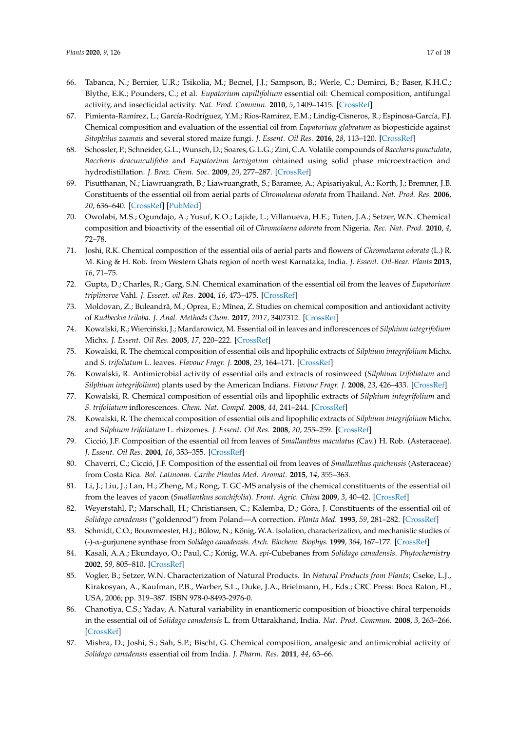- <span id="page-16-6"></span><span id="page-16-5"></span><span id="page-16-4"></span><span id="page-16-3"></span><span id="page-16-2"></span><span id="page-16-1"></span><span id="page-16-0"></span>66. Tabanca, N.; Bernier, U.R.; Tsikolia, M.; Becnel, J.J.; Sampson, B.; Werle, C.; Demirci, B.; Baser, K.H.C.; Blythe, E.K.; Pounders, C.; et al. *Eupatorium capillifolium* essential oil: Chemical composition, antifungal activity, and insecticidal activity. *Nat. Prod. Commun.* **2010**, *5*, 1409–1415. [\[CrossRef\]](http://dx.doi.org/10.1177/1934578X1000500913)
- 67. Pimienta-Ramírez, L.; García-Rodríguez, Y.M.; Ríos-Ramírez, E.M.; Lindig-Cisneros, R.; Espinosa-García, F.J. Chemical composition and evaluation of the essential oil from *Eupatorium glabratum* as biopesticide against *Sitophilus zeamais* and several stored maize fungi. *J. Essent. Oil Res.* **2016**, *28*, 113–120. [\[CrossRef\]](http://dx.doi.org/10.1080/10412905.2015.1093969)
- 68. Schossler, P.; Schneider, G.L.; Wunsch, D.; Soares, G.L.G.; Zini, C.A. Volatile compounds of *Baccharis punctulata*, *Baccharis dracunculifolia* and *Eupatorium laevigatum* obtained using solid phase microextraction and hydrodistillation. *J. Braz. Chem. Soc.* **2009**, *20*, 277–287. [\[CrossRef\]](http://dx.doi.org/10.1590/S0103-50532009000200012)
- 69. Pisutthanan, N.; Liawruangrath, B.; Liawruangrath, S.; Baramee, A.; Apisariyakul, A.; Korth, J.; Bremner, J.B. Constituents of the essential oil from aerial parts of *Chromolaena odorata* from Thailand. *Nat. Prod. Res.* **2006**, *20*, 636–640. [\[CrossRef\]](http://dx.doi.org/10.1080/14786410500462678) [\[PubMed\]](http://www.ncbi.nlm.nih.gov/pubmed/16835098)
- 70. Owolabi, M.S.; Ogundajo, A.; Yusuf, K.O.; Lajide, L.; Villanueva, H.E.; Tuten, J.A.; Setzer, W.N. Chemical composition and bioactivity of the essential oil of *Chromolaena odorata* from Nigeria. *Rec. Nat. Prod.* **2010**, *4*, 72–78.
- 71. Joshi, R.K. Chemical composition of the essential oils of aerial parts and flowers of *Chromolaena odorata* (L.) R. M. King & H. Rob. from Western Ghats region of north west Karnataka, India. *J. Essent. Oil-Bear. Plants* **2013**, *16*, 71–75.
- 72. Gupta, D.; Charles, R.; Garg, S.N. Chemical examination of the essential oil from the leaves of *Eupatorium triplinerve* Vahl. *J. Essent. oil Res.* **2004**, *16*, 473–475. [\[CrossRef\]](http://dx.doi.org/10.1080/10412905.2004.9698774)
- <span id="page-16-7"></span>73. Moldovan, Z.; Buleandră, M.; Oprea, E.; Mînea, Z. Studies on chemical composition and antioxidant activity of *Rudbeckia triloba*. *J. Anal. Methods Chem.* **2017**, *2017*, 3407312. [\[CrossRef\]](http://dx.doi.org/10.1155/2017/3407312)
- <span id="page-16-8"></span>74. Kowalski, R.; Wierciński, J.; Mardarowicz, M. Essential oil in leaves and inflorescences of *Silphium integrifolium* Michx. *J. Essent. Oil Res.* **2005**, *17*, 220–222. [\[CrossRef\]](http://dx.doi.org/10.1080/10412905.2005.9698881)
- <span id="page-16-10"></span>75. Kowalski, R. The chemical composition of essential oils and lipophilic extracts of *Silphium integrifolium* Michx. and *S. trifoliatum* L. leaves. *Flavour Fragr. J.* **2008**, *23*, 164–171. [\[CrossRef\]](http://dx.doi.org/10.1002/ffj.1868)
- 76. Kowalski, R. Antimicrobial activity of essential oils and extracts of rosinweed (*Silphium trifoliatum* and *Silphium integrifolium*) plants used by the American Indians. *Flavour Fragr. J.* **2008**, *23*, 426–433. [\[CrossRef\]](http://dx.doi.org/10.1002/ffj.1901)
- <span id="page-16-11"></span>77. Kowalski, R. Chemical composition of essential oils and lipophilic extracts of *Silphium integrifolium* and *S. trifoliatum* inflorescences. *Chem. Nat. Compd.* **2008**, *44*, 241–244. [\[CrossRef\]](http://dx.doi.org/10.1007/s10600-008-9027-x)
- <span id="page-16-9"></span>78. Kowalski, R. The chemical composition of essential oils and lipophilic extracts of *Silphium integrifolium* Michx. and *Silphium trifoliatum* L. rhizomes. *J. Essent. Oil Res.* **2008**, *20*, 255–259. [\[CrossRef\]](http://dx.doi.org/10.1080/10412905.2008.9700005)
- <span id="page-16-12"></span>79. Cicció, J.F. Composition of the essential oil from leaves of *Smallanthus maculatus* (Cav.) H. Rob. (Asteraceae). *J. Essent. Oil Res.* **2004**, *16*, 353–355. [\[CrossRef\]](http://dx.doi.org/10.1080/10412905.2004.9698740)
- <span id="page-16-13"></span>80. Chaverri, C.; Cicció, J.F. Composition of the essential oil from leaves of *Smallanthus quichensis* (Asteraceae) from Costa Rica. *Bol. Latinoam. Caribe Plantas Med. Aromat.* **2015**, *14*, 355–363.
- <span id="page-16-14"></span>81. Li, J.; Liu, J.; Lan, H.; Zheng, M.; Rong, T. GC-MS analysis of the chemical constituents of the essential oil from the leaves of yacon (*Smallanthus sonchifolia*). *Front. Agric. China* **2009**, *3*, 40–42. [\[CrossRef\]](http://dx.doi.org/10.1007/s11703-009-0008-z)
- <span id="page-16-15"></span>82. Weyerstahl, P.; Marschall, H.; Christiansen, C.; Kalemba, D.; Góra, J. Constituents of the essential oil of *Solidago canadensis* ("goldenrod") from Poland—A correction. *Planta Med.* **1993**, *59*, 281–282. [\[CrossRef\]](http://dx.doi.org/10.1055/s-2006-959673)
- <span id="page-16-16"></span>83. Schmidt, C.O.; Bouwmeester, H.J.; Bülow, N.; König, W.A. Isolation, characterization, and mechanistic studies of (-)-α-gurjunene synthase from *Solidago canadensis*. *Arch. Biochem. Biophys.* **1999**, *364*, 167–177. [\[CrossRef\]](http://dx.doi.org/10.1006/abbi.1999.1122)
- <span id="page-16-17"></span>84. Kasali, A.A.; Ekundayo, O.; Paul, C.; König, W.A. *epi*-Cubebanes from *Solidago canadensis*. *Phytochemistry* **2002**, *59*, 805–810. [\[CrossRef\]](http://dx.doi.org/10.1016/S0031-9422(02)00006-7)
- <span id="page-16-18"></span>85. Vogler, B.; Setzer, W.N. Characterization of Natural Products. In *Natural Products from Plants*; Cseke, L.J., Kirakosyan, A., Kaufman, P.B., Warber, S.L., Duke, J.A., Brielmann, H., Eds.; CRC Press: Boca Raton, FL, USA, 2006; pp. 319–387. ISBN 978-0-8493-2976-0.
- <span id="page-16-19"></span>86. Chanotiya, C.S.; Yadav, A. Natural variability in enantiomeric composition of bioactive chiral terpenoids in the essential oil of *Solidago canadensis* L. from Uttarakhand, India. *Nat. Prod. Commun.* **2008**, *3*, 263–266. [\[CrossRef\]](http://dx.doi.org/10.1177/1934578X0800300232)
- <span id="page-16-20"></span>87. Mishra, D.; Joshi, S.; Sah, S.P.; Bischt, G. Chemical composition, analgesic and antimicrobial activity of *Solidago canadensis* essential oil from India. *J. Pharm. Res.* **2011**, *44*, 63–66.